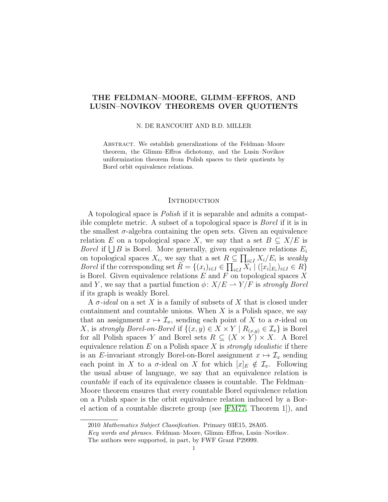# THE FELDMAN–MOORE, GLIMM–EFFROS, AND LUSIN–NOVIKOV THEOREMS OVER QUOTIENTS

### N. DE RANCOURT AND B.D. MILLER

Abstract. We establish generalizations of the Feldman–Moore theorem, the Glimm–Effros dichotomy, and the Lusin–Novikov uniformization theorem from Polish spaces to their quotients by Borel orbit equivalence relations.

#### **INTRODUCTION**

A topological space is Polish if it is separable and admits a compatible complete metric. A subset of a topological space is Borel if it is in the smallest  $\sigma$ -algebra containing the open sets. Given an equivalence relation E on a topological space X, we say that a set  $B \subseteq X/E$  is *Borel* if  $\bigcup B$  is Borel. More generally, given equivalence relations  $E_i$ on topological spaces  $X_i$ , we say that a set  $R \subseteq \prod_{i \in I} X_i / E_i$  is weakly *Borel* if the corresponding set  $\tilde{R} = \{(x_i)_{i \in I} \in \prod_{i \in I} X_i \mid ([x_i]_{E_i})_{i \in I} \in R\}$ is Borel. Given equivalence relations  $E$  and  $F$  on topological spaces  $X$ and Y, we say that a partial function  $\phi: X/E \to Y/F$  is strongly Borel if its graph is weakly Borel.

A  $\sigma$ -ideal on a set X is a family of subsets of X that is closed under containment and countable unions. When  $X$  is a Polish space, we say that an assignment  $x \mapsto \mathcal{I}_x$ , sending each point of X to a  $\sigma$ -ideal on X, is strongly Borel-on-Borel if  $\{(x, y) \in X \times Y \mid R_{(x,y)} \in \mathcal{I}_x\}$  is Borel for all Polish spaces Y and Borel sets  $R \subseteq (X \times Y) \times X$ . A Borel equivalence relation  $E$  on a Polish space  $X$  is *strongly idealistic* if there is an E-invariant strongly Borel-on-Borel assignment  $x \mapsto \mathcal{I}_x$  sending each point in X to a  $\sigma$ -ideal on X for which  $[x]_E \notin \mathcal{I}_x$ . Following the usual abuse of language, we say that an equivalence relation is countable if each of its equivalence classes is countable. The Feldman– Moore theorem ensures that every countable Borel equivalence relation on a Polish space is the orbit equivalence relation induced by a Borel action of a countable discrete group (see [\[FM77,](#page-24-0) Theorem 1]), and

<sup>2010</sup> Mathematics Subject Classification. Primary 03E15, 28A05.

Key words and phrases. Feldman–Moore, Glimm–Effros, Lusin–Novikov.

The authors were supported, in part, by FWF Grant P29999.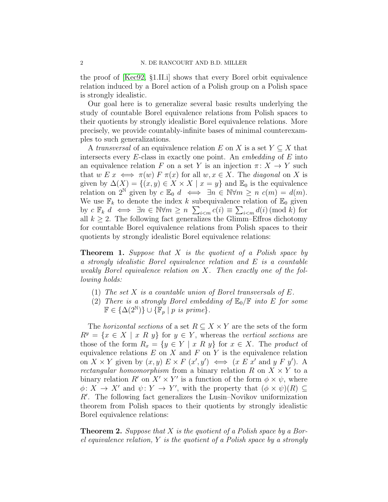the proof of [\[Kec92,](#page-24-1) §1.II.i] shows that every Borel orbit equivalence relation induced by a Borel action of a Polish group on a Polish space is strongly idealistic.

Our goal here is to generalize several basic results underlying the study of countable Borel equivalence relations from Polish spaces to their quotients by strongly idealistic Borel equivalence relations. More precisely, we provide countably-infinite bases of minimal counterexamples to such generalizations.

A transversal of an equivalence relation E on X is a set  $Y \subseteq X$  that intersects every  $E$ -class in exactly one point. An *embedding* of  $E$  into an equivalence relation F on a set Y is an injection  $\pi: X \to Y$  such that  $w E x \iff \pi(w) F \pi(x)$  for all  $w, x \in X$ . The *diagonal* on X is given by  $\Delta(X) = \{(x, y) \in X \times X \mid x = y\}$  and  $\mathbb{E}_0$  is the equivalence relation on  $2^{\mathbb{N}}$  given by  $c \mathbb{E}_0 d \iff \exists n \in \mathbb{N} \forall m \geq n \ c(m) = d(m)$ . We use  $\mathbb{F}_k$  to denote the index k subequivalence relation of  $\mathbb{E}_0$  given by  $c \mathbb{F}_k d \iff \exists n \in \mathbb{N} \forall m \geq n \sum_{i \leq m} c(i) \equiv \sum_{i \leq m} d(i) \pmod{k}$  for all  $k \geq 2$ . The following fact generalizes the Glimm–Effros dichotomy for countable Borel equivalence relations from Polish spaces to their quotients by strongly idealistic Borel equivalence relations:

<span id="page-1-1"></span>**Theorem 1.** Suppose that  $X$  is the quotient of a Polish space by a strongly idealistic Borel equivalence relation and E is a countable weakly Borel equivalence relation on X. Then exactly one of the following holds:

- (1) The set X is a countable union of Borel transversals of  $E$ .
- (2) There is a strongly Borel embedding of  $\mathbb{E}_0/\mathbb{F}$  into E for some  $\mathbb{F} \in {\Delta(2^{\mathbb{N}})} \} \cup {\{\mathbb{F}_p \mid p \text{ is prime}}\}.$

The *horizontal sections* of a set  $R \subseteq X \times Y$  are the sets of the form  $R^y = \{x \in X \mid x \in R \mid y\}$  for  $y \in Y$ , whereas the vertical sections are those of the form  $R_x = \{y \in Y \mid x \in \mathbb{R} \mid y\}$  for  $x \in X$ . The product of equivalence relations  $E$  on  $X$  and  $F$  on  $Y$  is the equivalence relation on  $X \times Y$  given by  $(x, y) \to Y \times F$   $(x', y') \iff (x \in X'$  and  $y \in Y'$ . rectangular homomorphism from a binary relation R on  $X \times Y$  to a binary relation R' on  $X' \times Y'$  is a function of the form  $\phi \times \psi$ , where  $\phi: X \to X'$  and  $\psi: Y \to Y'$ , with the property that  $(\phi \times \psi)(R) \subseteq$  $R'$ . The following fact generalizes the Lusin–Novikov uniformization theorem from Polish spaces to their quotients by strongly idealistic Borel equivalence relations:

<span id="page-1-0"></span>**Theorem 2.** Suppose that X is the quotient of a Polish space by a Borel equivalence relation, Y is the quotient of a Polish space by a strongly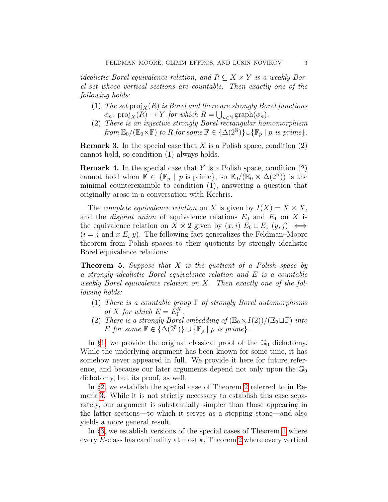idealistic Borel equivalence relation, and  $R \subseteq X \times Y$  is a weakly Borel set whose vertical sections are countable. Then exactly one of the following holds:

- (1) The set  $proj_X(R)$  is Borel and there are strongly Borel functions  $\phi_n: \text{proj}_X(R) \to Y$  for which  $R = \bigcup_{n \in \mathbb{N}} \text{graph}(\phi_n)$ .
- (2) There is an injective strongly Borel rectangular homomorphism from  $\mathbb{E}_0/(\mathbb{E}_0\times\mathbb{F})$  to R for some  $\mathbb{F}\in\{\Delta(2^{\mathbb{N}})\}\cup\{\mathbb{F}_p\mid p\text{ is prime}\}.$

<span id="page-2-0"></span>**Remark 3.** In the special case that  $X$  is a Polish space, condition  $(2)$ cannot hold, so condition (1) always holds.

<span id="page-2-2"></span>**Remark 4.** In the special case that Y is a Polish space, condition  $(2)$ cannot hold when  $\mathbb{F} \in \{\mathbb{F}_p \mid p \text{ is prime}\},$  so  $\mathbb{E}_0/(\mathbb{E}_0 \times \Delta(2^{\mathbb{N}}))$  is the minimal counterexample to condition (1), answering a question that originally arose in a conversation with Kechris.

The *complete equivalence relation* on X is given by  $I(X) = X \times X$ , and the *disjoint union* of equivalence relations  $E_0$  and  $E_1$  on X is the equivalence relation on  $X \times 2$  given by  $(x, i) E_0 \sqcup E_1 (y, j) \iff$  $(i = j \text{ and } x E_i y)$ . The following fact generalizes the Feldman–Moore theorem from Polish spaces to their quotients by strongly idealistic Borel equivalence relations:

<span id="page-2-1"></span>**Theorem 5.** Suppose that  $X$  is the quotient of a Polish space by a strongly idealistic Borel equivalence relation and E is a countable weakly Borel equivalence relation on X. Then exactly one of the following holds:

- (1) There is a countable group  $\Gamma$  of strongly Borel automorphisms of X for which  $E = E_{\Gamma}^{X}$ .
- (2) There is a strongly Borel embedding of  $(\mathbb{E}_0 \times I(2))/(\mathbb{E}_0 \sqcup \mathbb{F})$  into E for some  $\mathbb{F} \in \{ \Delta(2^{\mathbb{N}}) \} \cup \{ \mathbb{F}_p \mid p \text{ is prime} \}.$

In §[1,](#page-3-0) we provide the original classical proof of the  $\mathbb{G}_0$  dichotomy. While the underlying argument has been known for some time, it has somehow never appeared in full. We provide it here for future reference, and because our later arguments depend not only upon the  $\mathbb{G}_0$ dichotomy, but its proof, as well.

In §[2,](#page-7-0) we establish the special case of Theorem [2](#page-1-0) referred to in Remark [3.](#page-2-0) While it is not strictly necessary to establish this case separately, our argument is substantially simpler than those appearing in the latter sections—to which it serves as a stepping stone—and also yields a more general result.

In §[3,](#page-12-0) we establish versions of the special cases of Theorem [1](#page-1-1) where every  $E$ -class has cardinality at most  $k$ , Theorem [2](#page-1-0) where every vertical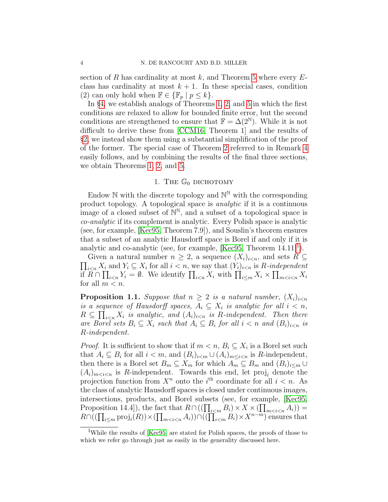section of R has cardinality at most k, and Theorem [5](#page-2-1) where every  $E$ class has cardinality at most  $k + 1$ . In these special cases, condition (2) can only hold when  $\mathbb{F} \in {\mathbb{F}_p \mid p \leq k}.$ 

In §[4,](#page-17-0) we establish analogs of Theorems [1,](#page-1-1) [2,](#page-1-0) and [5](#page-2-1) in which the first conditions are relaxed to allow for bounded finite error, but the second conditions are strengthened to ensure that  $\mathbb{F} = \Delta(2^{\mathbb{N}})$ . While it is not difficult to derive these from [\[CCM16,](#page-24-2) Theorem 1] and the results of §[2,](#page-7-0) we instead show them using a substantial simplification of the proof of the former. The special case of Theorem [2](#page-1-0) referred to in Remark [4](#page-2-2) easily follows, and by combining the results of the final three sections, we obtain Theorems [1,](#page-1-1) [2,](#page-1-0) and [5.](#page-2-1)

# 1. THE  $\mathbb{G}_0$  DICHOTOMY

<span id="page-3-0"></span>Endow  $\mathbb N$  with the discrete topology and  $\mathbb N^{\mathbb N}$  with the corresponding product topology. A topological space is analytic if it is a continuous image of a closed subset of  $\mathbb{N}^{\mathbb{N}}$ , and a subset of a topological space is co-analytic if its complement is analytic. Every Polish space is analytic (see, for example, [\[Kec95,](#page-24-3) Theorem 7.9]), and Souslin's theorem ensures that a subset of an analytic Hausdorff space is Borel if and only if it is analytic and co-analytic (see, for example, [\[Kec95,](#page-24-3) Theorem  $14.11$  $14.11$ ]<sup>1</sup>).

 $\prod_{i\leq n} X_i$  and  $Y_i \subseteq X_i$  for all  $i < n$ , we say that  $(Y_i)_{i\leq n}$  is R-independent Given a natural number  $n \geq 2$ , a sequence  $(X_i)_{i \leq n}$ , and sets  $R \subseteq$ if  $R \cap \prod_{i \leq n} Y_i = \emptyset$ . We identify  $\prod_{i \leq n} X_i$  with  $\prod_{i \leq m} X_i \times \prod_{m < i < n} X_i$ for all  $m < n$ .

<span id="page-3-2"></span>**Proposition 1.1.** Suppose that  $n \geq 2$  is a natural number,  $(X_i)_{i \leq n}$ is a sequence of Hausdorff spaces,  $A_i \subseteq X_i$  is analytic for all  $i < n$ ,  $R \subseteq \prod_{i \leq n} X_i$  is analytic, and  $(A_i)_{i \leq n}$  is R-independent. Then there are Borel sets  $B_i \subseteq X_i$  such that  $A_i \subseteq B_i$  for all  $i < n$  and  $(B_i)_{i < n}$  is R-independent.

*Proof.* It is sufficient to show that if  $m < n$ ,  $B_i \subseteq X_i$  is a Borel set such that  $A_i \subseteq B_i$  for all  $i < m$ , and  $(B_i)_{i < m} \cup (A_i)_{m \leq i < n}$  is R-independent, then there is a Borel set  $B_m \subseteq X_m$  for which  $A_m \subseteq B_m$  and  $(B_i)_{i \leq m} \cup$  $(A_i)_{m \leq i \leq n}$  is R-independent. Towards this end, let proj<sub>i</sub> denote the projection function from  $X^n$  onto the i<sup>th</sup> coordinate for all  $i < n$ . As the class of analytic Hausdorff spaces is closed under continuous images, intersections, products, and Borel subsets (see, for example, [\[Kec95,](#page-24-3) Proposition 14.4]), the fact that  $R \cap ((\prod_{i \leq m} B_i) \times X \times (\prod_{m < i \leq n} A_i)) =$  $R\cap((\prod_{i\leq m} \text{proj}_i(R))\times(\prod_{m ensures that$ 

<span id="page-3-1"></span><sup>&</sup>lt;sup>1</sup>While the results of [\[Kec95\]](#page-24-3) are stated for Polish spaces, the proofs of those to which we refer go through just as easily in the generality discussed here.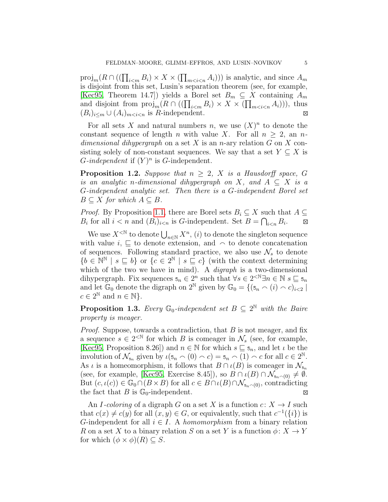$proj_m(R \cap ((\prod_{i \le m} B_i) \times X \times (\prod_{m < i \le n} A_i)))$  is analytic, and since  $A_m$ is disjoint from this set, Lusin's separation theorem (see, for example, [\[Kec95,](#page-24-3) Theorem 14.7]) yields a Borel set  $B_m \subseteq X$  containing  $A_m$ and disjoint from  $\text{proj}_m(R \cap ((\prod_{i \le m} B_i) \times X \times (\prod_{m < i \le n} A_i)))$ , thus  $(B_i)_{i \le m} \cup (A_i)_{m \le i \le n}$  is R-independent.

For all sets X and natural numbers n, we use  $(X)^n$  to denote the constant sequence of length n with value X. For all  $n \geq 2$ , an ndimensional dihypergraph on a set X is an n-ary relation  $G$  on X consisting solely of non-constant sequences. We say that a set  $Y \subseteq X$  is  $G$ -independent if  $(Y)^n$  is  $G$ -independent.

<span id="page-4-1"></span>**Proposition 1.2.** Suppose that  $n \geq 2$ , X is a Hausdorff space, G is an analytic n-dimensional dihypergraph on X, and  $A \subseteq X$  is a G-independent analytic set. Then there is a G-independent Borel set  $B \subset X$  for which  $A \subset B$ .

*Proof.* By Proposition [1.1,](#page-3-2) there are Borel sets  $B_i \subseteq X$  such that  $A \subseteq$  $B_i$  for all  $i < n$  and  $(B_i)_{i < n}$  is G-independent. Set  $B = \bigcap_{i < n} B_i$ . ⊠

We use  $X^{\leq \mathbb{N}}$  to denote  $\bigcup_{n\in\mathbb{N}} X^n$ ,  $(i)$  to denote the singleton sequence with value  $i, \subseteq$  to denote extension, and  $\sim$  to denote concatenation of sequences. Following standard practice, we also use  $\mathcal{N}_s$  to denote  ${b \in \mathbb{N}^{\mathbb{N}} \mid s \sqsubseteq b}$  or  ${c \in 2^{\mathbb{N}} \mid s \sqsubseteq c}$  (with the context determining which of the two we have in mind). A *digraph* is a two-dimensional dihypergraph. Fix sequences  $s_n \in 2^n$  such that  $\forall s \in 2^{< N} \exists n \in \mathbb{N}$  s  $\sqsubseteq s_n$ and let  $\mathbb{G}_0$  denote the digraph on  $2^{\mathbb{N}}$  given by  $\mathbb{G}_0 = \{(\mathfrak{s}_n \cap (i) \cap c)_{i \leq 2} \mid$  $c \in 2^{\mathbb{N}}$  and  $n \in \mathbb{N}$ .

<span id="page-4-0"></span>**Proposition 1.3.** Every  $\mathbb{G}_0$ -independent set  $B \subseteq 2^{\mathbb{N}}$  with the Baire property is meager.

*Proof.* Suppose, towards a contradiction, that  $B$  is not meager, and fix a sequence  $s \in 2^{\lt N}$  for which B is comeager in  $\mathcal{N}_s$  (see, for example, [\[Kec95,](#page-24-3) Proposition 8.26]) and  $n \in \mathbb{N}$  for which  $s \subseteq s_n$ , and let  $\iota$  be the involution of  $\mathcal{N}_{s_n}$  given by  $\iota(s_n \cap (0) \cap c) = s_n \cap (1) \cap c$  for all  $c \in 2^{\mathbb{N}}$ . As  $\iota$  is a homeomorphism, it follows that  $B \cap \iota(B)$  is comeager in  $\mathcal{N}_{s_n}$ (see, for example, [\[Kec95,](#page-24-3) Exercise 8.45]), so  $B \cap \iota(B) \cap \mathcal{N}_{s_n \cap (0)} \neq \emptyset$ . But  $(c, \iota(c)) \in \mathbb{G}_0 \cap (B \times B)$  for all  $c \in B \cap \iota(B) \cap \mathcal{N}_{s_n \cap (0)}$ , contradicting the fact that B is  $\mathbb{G}_0$ -independent. M

An I-coloring of a digraph G on a set X is a function  $c: X \to I$  such that  $c(x) \neq c(y)$  for all  $(x, y) \in G$ , or equivalently, such that  $c^{-1}(\{i\})$  is G-independent for all  $i \in I$ . A *homomorphism* from a binary relation R on a set X to a binary relation S on a set Y is a function  $\phi: X \to Y$ for which  $(\phi \times \phi)(R) \subset S$ .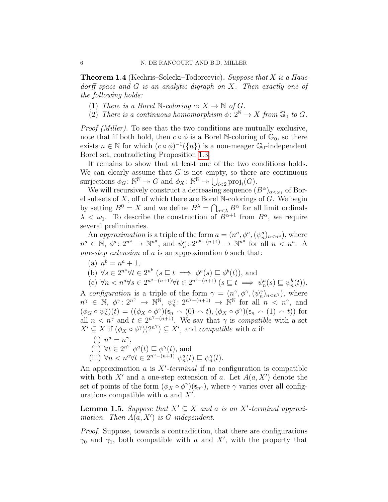<span id="page-5-0"></span>**Theorem 1.4** (Kechris–Solecki–Todorcevic). Suppose that X is a Hausdorff space and G is an analytic digraph on X. Then exactly one of the following holds:

- (1) There is a Borel N-coloring  $c: X \to \mathbb{N}$  of G.
- (2) There is a continuous homomorphism  $\phi: 2^{\mathbb{N}} \to X$  from  $\mathbb{G}_0$  to G.

Proof (Miller). To see that the two conditions are mutually exclusive, note that if both hold, then  $c \circ \phi$  is a Borel N-coloring of  $\mathbb{G}_0$ , so there exists  $n \in \mathbb{N}$  for which  $(c \circ \phi)^{-1}(\lbrace n \rbrace)$  is a non-meager  $\mathbb{G}_0$ -independent Borel set, contradicting Proposition [1.3.](#page-4-0)

It remains to show that at least one of the two conditions holds. We can clearly assume that  $G$  is not empty, so there are continuous surjections  $\phi_G \colon \mathbb{N}^{\mathbb{N}} \to G$  and  $\phi_X \colon \mathbb{N}^{\mathbb{N}} \to \bigcup_{i<2}^{\infty} \text{proj}_i(G)$ .

We will recursively construct a decreasing sequence  $(B^{\alpha})_{\alpha<\omega_1}$  of Borel subsets of  $X$ , off of which there are Borel N-colorings of  $G$ . We begin by setting  $B^0 = X$  and we define  $B^{\lambda} = \bigcap_{\alpha < \lambda} B^{\alpha}$  for all limit ordinals  $\lambda < \omega_1$ . To describe the construction of  $B^{\alpha+1}$  from  $B^{\alpha}$ , we require several preliminaries.

An approximation is a triple of the form  $a = (n^a, \phi^a, (\psi^a_n)_{n \leq n^a})$ , where  $n^a \in \mathbb{N}, \phi^a: 2^{n^a} \to \mathbb{N}^{n^a}, \text{ and } \psi^a_n: 2^{n^a - (n+1)} \to \mathbb{N}^{n^a} \text{ for all } n < n^a.$  A one-step extension of  $a$  is an approximation  $b$  such that:

- (a)  $n^b = n^a + 1$ ,
- (b)  $\forall s \in 2^{n^a} \forall t \in 2^{n^b} \ (s \sqsubseteq t \implies \phi^a(s) \sqsubseteq \phi^b(t)),$  and
- (c)  $\forall n < n^a \forall s \in 2^{n^a (n+1)} \forall t \in 2^{n^b (n+1)} \ (s \sqsubseteq t \implies \psi_n^a(s) \sqsubseteq \psi_n^b(t)).$

A configuration is a triple of the form  $\gamma = (n^{\gamma}, \phi^{\gamma}, (\psi_n^{\gamma})_{n \leq n^{\gamma}})$ , where  $n^{\gamma} \in \mathbb{N}, \phi^{\gamma} \colon 2^{n^{\gamma}} \to \mathbb{N}^{\mathbb{N}}, \psi_n^{\gamma} \colon 2^{n^{\gamma}-(n+1)} \to \mathbb{N}^{\mathbb{N}}$  for all  $n \leq n^{\gamma}$ , and  $(\phi_G \circ \psi_n^{\gamma})(t) = ((\phi_X \circ \phi^{\gamma})(s_n \sim (0) \sim t), (\phi_X \circ \phi^{\gamma})(s_n \sim (1) \sim t))$  for all  $n \lt n^{\gamma}$  and  $t \in 2^{n^{\gamma}-(n+1)}$ . We say that  $\gamma$  is *compatible* with a set  $X' \subseteq X$  if  $(\phi_X \circ \phi^{\gamma})(2^{n^{\gamma}}) \subseteq X'$ , and compatible with a if:

- (i)  $n^a = n^{\gamma}$ ,
- (ii)  $\forall t \in 2^{n^a} \phi^a(t) \sqsubseteq \phi^{\gamma}(t)$ , and
- (iii)  $\forall n \leq n^a \forall t \in 2^{n^a (n+1)} \psi_n^a(t) \sqsubseteq \psi_n^{\gamma}(t)$ .

An approximation  $a$  is  $X'-terminal$  if no configuration is compatible with both  $X'$  and a one-step extension of a. Let  $A(a, X')$  denote the set of points of the form  $(\phi_X \circ \phi)$ <sup> $(\mathfrak{s}_{n^a})$ </sup>, where  $\gamma$  varies over all configurations compatible with  $a$  and  $X'$ .

**Lemma 1.5.** Suppose that  $X' \subseteq X$  and a is an X<sup>'</sup>-terminal approximation. Then  $A(a, X')$  is G-independent.

Proof. Suppose, towards a contradiction, that there are configurations  $\gamma_0$  and  $\gamma_1$ , both compatible with a and X', with the property that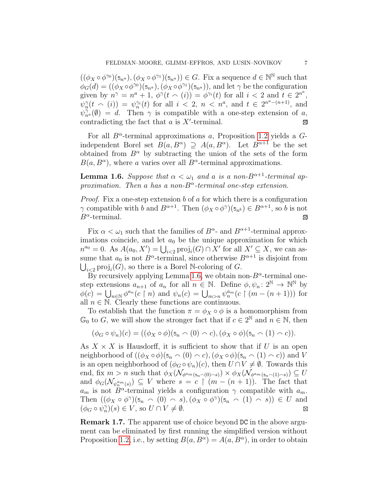$((\phi_X \circ \phi^{\gamma_0})(s_{n^a}), (\phi_X \circ \phi^{\gamma_1})(s_{n^a})) \in G$ . Fix a sequence  $d \in \mathbb{N}^{\mathbb{N}}$  such that  $\phi_G(d) = ((\phi_X \circ \phi^{\gamma_0})(s_{n^a}), (\phi_X \circ \phi^{\gamma_1})(s_{n^a}))$ , and let  $\gamma$  be the configuration given by  $n^{\gamma} = n^a + 1$ ,  $\phi^{\gamma}(t \wedge (i)) = \phi^{\gamma_i}(t)$  for all  $i < 2$  and  $t \in 2^{n^a}$ ,  $\psi_n^{\gamma}(t \cap (i)) = \psi_n^{\gamma_i}(t)$  for all  $i < 2, n < n^a$ , and  $t \in 2^{n^a - (n+1)}$ , and  $\psi_{n}^{\gamma}(\emptyset) = d$ . Then  $\gamma$  is compatible with a one-step extension of a, contradicting the fact that  $a$  is  $X'$ -terminal. ⊠

For all  $B^{\alpha}$ -terminal approximations a, Proposition [1.2](#page-4-1) yields a Gindependent Borel set  $B(a, B^{\alpha}) \supseteq A(a, B^{\alpha})$ . Let  $B^{\alpha+1}$  be the set obtained from  $B^{\alpha}$  by subtracting the union of the sets of the form  $B(a, B^{\alpha})$ , where a varies over all  $B^{\alpha}$ -terminal approximations.

<span id="page-6-0"></span>**Lemma 1.6.** Suppose that  $\alpha < \omega_1$  and a is a non-B<sup> $\alpha+1$ </sup>-terminal approximation. Then a has a non- $B^{\alpha}$ -terminal one-step extension.

*Proof.* Fix a one-step extension  $b$  of  $a$  for which there is a configuration  $\gamma$  compatible with b and  $B^{\alpha+1}$ . Then  $(\phi_X \circ \phi^\gamma)(s_{n^b}) \in B^{\alpha+1}$ , so b is not  $B^{\alpha}$ -terminal. ⊠

Fix  $\alpha < \omega_1$  such that the families of  $B^{\alpha_-}$  and  $B^{\alpha+1}$ -terminal approximations coincide, and let  $a_0$  be the unique approximation for which  $n^{a_0} = 0$ . As  $A(a_0, X') = \bigcup_{i < 2} \text{proj}_i(G) \cap X'$  for all  $X' \subseteq X$ , we can assume that  $a_0$  is not  $B^{\alpha}$ -terminal, since otherwise  $B^{\alpha+1}$  is disjoint from  $\bigcup_{i<2} \text{proj}_i(G)$ , so there is a Borel N-coloring of G.

By recursively applying Lemma [1.6,](#page-6-0) we obtain non- $B^{\alpha}$ -terminal onestep extensions  $a_{n+1}$  of  $a_n$  for all  $n \in \mathbb{N}$ . Define  $\phi, \psi_n : 2^{\mathbb{N}} \to \mathbb{N}^{\mathbb{N}}$  by  $\phi(c) = \bigcup_{n \in \mathbb{N}} \phi^{a_n}(c \restriction n)$  and  $\psi_n(c) = \bigcup_{m>n} \psi_n^{a_m}(c \restriction (m-(n+1)))$  for all  $n \in \mathbb{N}$ . Clearly these functions are continuous.

To establish that the function  $\pi = \phi_X \circ \phi$  is a homomorphism from  $\mathbb{G}_0$  to G, we will show the stronger fact that if  $c \in 2^{\mathbb{N}}$  and  $n \in \mathbb{N}$ , then

$$
(\phi_G \circ \psi_n)(c) = ((\phi_X \circ \phi)(s_n \cap (0) \cap c), (\phi_X \circ \phi)(s_n \cap (1) \cap c)).
$$

As  $X \times X$  is Hausdorff, it is sufficient to show that if U is an open neighborhood of  $((\phi_X \circ \phi)(\mathfrak{s}_n \cap (0) \cap c),(\phi_X \circ \phi)(\mathfrak{s}_n \cap (1) \cap c))$  and V is an open neighborhood of  $(\phi_G \circ \psi_n)(c)$ , then  $U \cap V \neq \emptyset$ . Towards this end, fix  $m > n$  such that  $\phi_X(\mathcal{N}_{\phi^{a_m}(s_n \cap (0) \cap s)}) \times \phi_X(\mathcal{N}_{\phi^{a_m}(s_n \cap (1) \cap s)}) \subseteq U$ and  $\phi_G(\mathcal{N}_{\psi_n^{a_m}(s)}) \subseteq V$  where  $s = c \restriction (m - (n + 1))$ . The fact that  $a_m$  is not  $B^{\alpha}$ -terminal yields a configuration  $\gamma$  compatible with  $a_m$ . Then  $((\phi_X \circ \phi^\gamma)(s_n \land (0) \land s),(\phi_X \circ \phi^\gamma)(s_n \land (1) \land s)) \in U$  and  $(\phi_G \circ \psi_n^{\gamma})(s) \in V$ , so  $U \cap V \neq \emptyset$ . ⊠

Remark 1.7. The apparent use of choice beyond DC in the above argument can be eliminated by first running the simplified version without Proposition [1.2,](#page-4-1) i.e., by setting  $B(a, B^{\alpha}) = A(a, B^{\alpha})$ , in order to obtain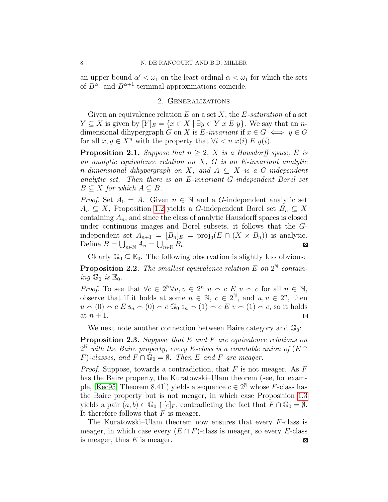an upper bound  $\alpha' < \omega_1$  on the least ordinal  $\alpha < \omega_1$  for which the sets of  $B^{\alpha}$ - and  $B^{\alpha+1}$ -terminal approximations coincide.

#### 2. Generalizations

<span id="page-7-0"></span>Given an equivalence relation  $E$  on a set  $X$ , the  $E$ -saturation of a set  $Y \subseteq X$  is given by  $[Y]_E = \{x \in X \mid \exists y \in Y \ x \ E \ y\}.$  We say that an ndimensional dihypergraph G on X is E-invariant if  $x \in G \iff y \in G$ for all  $x, y \in X^n$  with the property that  $\forall i < n$   $x(i) \mathrel{E} y(i)$ .

<span id="page-7-1"></span>**Proposition 2.1.** Suppose that  $n \geq 2$ , X is a Hausdorff space, E is an analytic equivalence relation on  $X$ ,  $G$  is an  $E$ -invariant analytic n-dimensional dihypergraph on X, and  $A \subseteq X$  is a G-independent analytic set. Then there is an E-invariant G-independent Borel set  $B \subseteq X$  for which  $A \subseteq B$ .

*Proof.* Set  $A_0 = A$ . Given  $n \in \mathbb{N}$  and a G-independent analytic set  $A_n \subseteq X$ , Proposition [1.2](#page-4-1) yields a G-independent Borel set  $B_n \subseteq X$ containing  $A_n$ , and since the class of analytic Hausdorff spaces is closed under continuous images and Borel subsets, it follows that the Gindependent set  $A_{n+1} = [B_n]_E = \text{proj}_0(E \cap (X \times B_n))$  is analytic. Define  $B = \bigcup_{n \in \mathbb{N}} A_n = \bigcup_{n \in \mathbb{N}} B_n$ .  $\boxtimes$ 

Clearly  $\mathbb{G}_0 \subseteq \mathbb{E}_0$ . The following observation is slightly less obvious:

<span id="page-7-3"></span>**Proposition 2.2.** The smallest equivalence relation  $E$  on  $2^{\mathbb{N}}$  containing  $\mathbb{G}_0$  is  $\mathbb{E}_0$ .

*Proof.* To see that  $\forall c \in 2^{\mathbb{N}} \forall u, v \in 2^n \ u \sim c \ E \ v \sim c$  for all  $n \in \mathbb{N}$ , observe that if it holds at some  $n \in \mathbb{N}$ ,  $c \in 2^{\mathbb{N}}$ , and  $u, v \in 2^n$ , then  $u \cap (0) \cap c \mathbb{E}$   $\mathfrak{s}_n \cap (0) \cap c \mathbb{G}_0$   $\mathfrak{s}_n \cap (1) \cap c \mathbb{E}$   $v \cap (1) \cap c$ , so it holds at  $n+1$ .  $\boxtimes$ 

We next note another connection between Baire category and  $\mathbb{G}_0$ :

<span id="page-7-2"></span>**Proposition 2.3.** Suppose that E and F are equivalence relations on  $2^{\mathbb{N}}$  with the Baire property, every E-class is a countable union of  $(E \cap$ F)-classes, and  $F \cap \mathbb{G}_0 = \emptyset$ . Then E and F are meager.

*Proof.* Suppose, towards a contradiction, that  $F$  is not meager. As  $F$ has the Baire property, the Kuratowski–Ulam theorem (see, for exam-ple, [\[Kec95,](#page-24-3) Theorem 8.41]) yields a sequence  $c \in 2^{\mathbb{N}}$  whose F-class has the Baire property but is not meager, in which case Proposition [1.3](#page-4-0) yields a pair  $(a, b) \in \mathbb{G}_0 \restriction [c]_F$ , contradicting the fact that  $F \cap \mathbb{G}_0 = \emptyset$ . It therefore follows that  $F$  is meager.

The Kuratowski–Ulam theorem now ensures that every F-class is meager, in which case every  $(E \cap F)$ -class is meager, so every E-class is meager, thus  $E$  is meager.  $\boxtimes$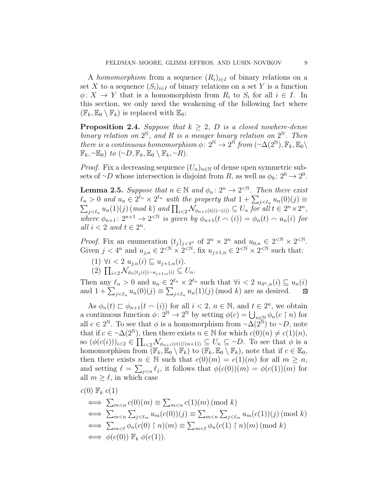A homomorphism from a sequence  $(R_i)_{i\in I}$  of binary relations on a set X to a sequence  $(S_i)_{i\in I}$  of binary relations on a set Y is a function  $\phi: X \to Y$  that is a homomorphism from  $R_i$  to  $S_i$  for all  $i \in I$ . In this section, we only need the weakening of the following fact where  $(\mathbb{F}_k, \mathbb{E}_0 \setminus \mathbb{F}_k)$  is replaced with  $\mathbb{E}_0$ :

<span id="page-8-0"></span>**Proposition 2.4.** Suppose that  $k \geq 2$ , D is a closed nowhere-dense binary relation on  $2^{\mathbb{N}}$ , and R is a meager binary relation on  $2^{\mathbb{N}}$ . Then there is a continuous homomorphism  $\phi \colon 2^{\mathbb{N}} \to 2^{\mathbb{N}}$  from  $\left(\sim \Delta(2^{\mathbb{N}}), \mathbb{F}_k, \mathbb{E}_0\right)$  $\mathbb{F}_k, \sim \mathbb{E}_0$ ) to  $(\sim D, \mathbb{F}_k, \mathbb{E}_0 \setminus \mathbb{F}_k, \sim R)$ .

*Proof.* Fix a decreasing sequence  $(U_n)_{n\in\mathbb{N}}$  of dense open symmetric subsets of ∼D whose intersection is disjoint from R, as well as  $\phi_0: 2^0 \to 2^0$ .

**Lemma 2.5.** Suppose that  $n \in \mathbb{N}$  and  $\phi_n : 2^n \to 2^{\lt \mathbb{N}}$ . Then there exist  $\ell_n > 0$  and  $u_n \in 2^{\ell_n} \times 2^{\ell_n}$  with the property that  $1 + \sum_{j < \ell_n} u_n(0)(j) \equiv$ <br> $\sum_{i < \ell} u_n(1)(j)$  (mod k) and  $\prod_{i < \ell} \mathcal{N}_{\phi_{n+1}(t(i) \cap (i))} \subseteq U_n$  for all  $t \in 2^n \times 2^n$ ,  $_{j<\ell_n} u_n(1)(j) \,(\text{mod } k) \text{ and } \prod_{i<2} \mathcal{N}_{\phi_{n+1}(t(i)\frown(i))} \subseteq U_n \text{ for all } t \in 2^n \times 2^n,$ where  $\phi_{n+1}$ :  $2^{n+1} \rightarrow 2^{\langle \mathbb{N} \rangle}$  is given by  $\phi_{n+1}(t \cap (i)) = \phi_n(t) \cap u_n(i)$  for all  $i < 2$  and  $t \in 2^n$ .

*Proof.* Fix an enumeration  $(t_j)_{j \leq 4^n}$  of  $2^n \times 2^n$  and  $u_{0,n} \in 2^{< N} \times 2^{< N}$ . Given  $j < 4^n$  and  $u_{j,n} \in 2^{\langle \mathbb{N} \times 2^{\langle \mathbb{N} \rangle} \times 1}$ , fix  $u_{j+1,n} \in 2^{\langle \mathbb{N} \times 2^{\langle \mathbb{N} \rangle} \times 1}$  such that:

- (1)  $\forall i < 2 \ u_{j,n}(i) \sqsubseteq u_{j+1,n}(i).$
- (2)  $\prod_{i<2} \mathcal{N}_{\phi_n(t_j(i))\sim u_{j+1,n}(i)} \subseteq U_n$ .

Then any  $\ell_n > 0$  and  $u_n \in 2^{\ell_n} \times 2^{\ell_n}$  such that  $\forall i < 2$   $u_{4^n,n}(i) \sqsubseteq u_n(i)$ and  $1 + \sum_{j < \ell_n} u_n(0)(j) \equiv \sum_{j < \ell_n} u_n(1)(j) \pmod{k}$  are as desired.  $\boxtimes$ 

As  $\phi_n(t) \sqsubset \phi_{n+1}(t \cap (i))$  for all  $i < 2, n \in \mathbb{N}$ , and  $t \in 2^n$ , we obtain a continuous function  $\phi: 2^{\mathbb{N}} \to 2^{\mathbb{N}}$  by setting  $\phi(c) = \bigcup_{n \in \mathbb{N}} \phi_n(c \restriction n)$  for all  $c \in 2^{\mathbb{N}}$ . To see that  $\phi$  is a homomorphism from  $\sim \widetilde{\Delta(2^{\mathbb{N}})}$  to  $\sim D$ , note that if  $c \in \sim \Delta(2^{\mathbb{N}})$ , then there exists  $n \in \mathbb{N}$  for which  $c(0)(n) \neq c(1)(n)$ , so  $(\phi(c(i)))_{i<2} \in \prod_{i<2} \mathcal{N}_{\phi_{n+1}(c(i))(n+1))} \subseteq U_n \subseteq \neg D$ . To see that  $\phi$  is a homomorphism from  $(\mathbb{F}_k, \mathbb{E}_0 \setminus \mathbb{F}_k)$  to  $(\mathbb{F}_k, \mathbb{E}_0 \setminus \mathbb{F}_k)$ , note that if  $c \in \mathbb{E}_0$ , then there exists  $n \in \mathbb{N}$  such that  $c(0)(m) = c(1)(m)$  for all  $m \geq n$ , and setting  $\ell = \sum_{j \leq n} \ell_j$ , it follows that  $\phi(c(0))(m) = \phi(c(1))(m)$  for all  $m \geq \ell$ , in which case

$$
c(0) \mathbb{F}_k c(1)
$$
  
\n
$$
\iff \sum_{m < n} c(0)(m) \equiv \sum_{m < n} c(1)(m) \pmod{k}
$$
  
\n
$$
\iff \sum_{m < n} \sum_{j < \ell_m} u_m(c(0))(j) \equiv \sum_{m < n} \sum_{j < \ell_m} u_m(c(1))(j) \pmod{k}
$$
  
\n
$$
\iff \sum_{m < \ell} \phi_n(c(0) \upharpoonright n)(m) \equiv \sum_{m < \ell} \phi_n(c(1) \upharpoonright n)(m) \pmod{k}
$$
  
\n
$$
\iff \phi(c(0)) \mathbb{F}_k \phi(c(1)).
$$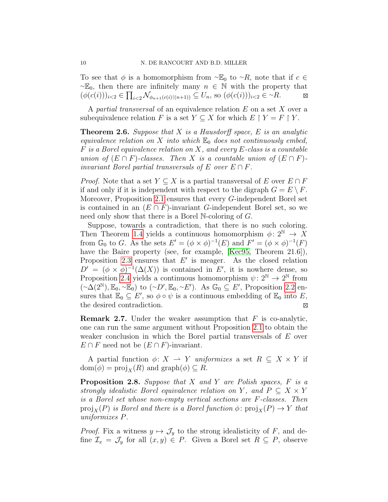To see that  $\phi$  is a homomorphism from ∼ $\mathbb{E}_0$  to ∼R, note that if  $c \in$  $~\sim\mathbb{E}_0$ , then there are infinitely many  $n \in \mathbb{N}$  with the property that  $(\phi(c(i)))_{i<2} \in \prod_{i<2} \mathcal{N}_{\phi_{n+1}(c(i))\restriction (n+1))} \subseteq U_n$ , so  $(\phi(c(i)))_{i<2} \in \sim R$ .  $\boxtimes$ 

A partial transversal of an equivalence relation  $E$  on a set X over a subequivalence relation F is a set  $Y \subseteq X$  for which  $E \upharpoonright Y = F \upharpoonright Y$ .

<span id="page-9-1"></span>**Theorem 2.6.** Suppose that  $X$  is a Hausdorff space,  $E$  is an analytic equivalence relation on X into which  $\mathbb{E}_0$  does not continuously embed,  $F$  is a Borel equivalence relation on  $X$ , and every  $E$ -class is a countable union of  $(E \cap F)$ -classes. Then X is a countable union of  $(E \cap F)$ invariant Borel partial transversals of E over  $E \cap F$ .

*Proof.* Note that a set  $Y \subseteq X$  is a partial transversal of E over  $E \cap F$ if and only if it is independent with respect to the digraph  $G = E \setminus F$ . Moreover, Proposition [2.1](#page-7-1) ensures that every G-independent Borel set is contained in an  $(E \cap F)$ -invariant G-independent Borel set, so we need only show that there is a Borel N-coloring of G.

Suppose, towards a contradiction, that there is no such coloring. Then Theorem [1.4](#page-5-0) yields a continuous homomorphism  $\phi: 2^{\mathbb{N}} \to X$ from  $\mathbb{G}_0$  to G. As the sets  $E' = (\phi \times \phi)^{-1}(E)$  and  $F' = (\phi \times \phi)^{-1}(F)$ have the Baire property (see, for example, [\[Kec95,](#page-24-3) Theorem 21.6]), Proposition [2.3](#page-7-2) ensures that  $E'$  is meager. As the closed relation  $D' = (\phi \times \phi)^{-1}(\Delta(X))$  is contained in E', it is nowhere dense, so Proposition [2.4](#page-8-0) yields a continuous homomorphism  $\psi: 2^{\mathbb{N}} \to 2^{\mathbb{N}}$  from  $(\sim \Lambda(2^{\mathbb{N}}), \mathbb{E}_0, \sim \mathbb{E}_0)$  to  $(\sim D', \mathbb{E}_0, \sim E')$ . As  $\mathbb{G}_0 \subseteq E'$ , Proposition [2.2](#page-7-3) ensures that  $\mathbb{E}_0 \subseteq E'$ , so  $\phi \circ \psi$  is a continuous embedding of  $\mathbb{E}_0$  into E, the desired contradiction. ⊠

**Remark 2.7.** Under the weaker assumption that  $F$  is co-analytic, one can run the same argument without Proposition [2.1](#page-7-1) to obtain the weaker conclusion in which the Borel partial transversals of E over  $E \cap F$  need not be  $(E \cap F)$ -invariant.

A partial function  $\phi: X \longrightarrow Y$  uniformizes a set  $R \subseteq X \times Y$  if  $dom(\phi) = proj<sub>X</sub>(R)$  and graph $(\phi) \subseteq R$ .

<span id="page-9-0"></span>**Proposition 2.8.** Suppose that X and Y are Polish spaces,  $F$  is a strongly idealistic Borel equivalence relation on Y, and  $P \subseteq X \times Y$ is a Borel set whose non-empty vertical sections are F-classes. Then  $proj_X(P)$  is Borel and there is a Borel function  $\phi: \text{proj}_X(P) \to Y$  that uniformizes P.

*Proof.* Fix a witness  $y \mapsto J_y$  to the strong idealisticity of F, and define  $\mathcal{I}_x = \mathcal{J}_y$  for all  $(x, y) \in P$ . Given a Borel set  $R \subseteq P$ , observe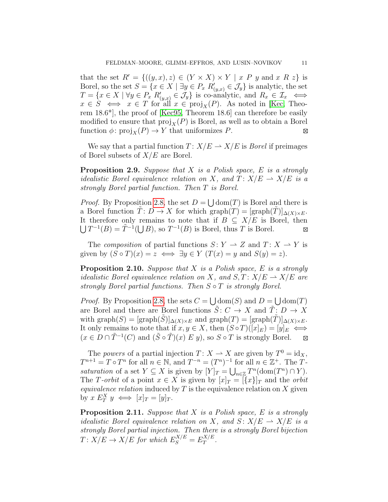that the set  $R' = \{((y, x), z) \in (Y \times X) \times Y \mid x \in P \text{ y and } x \in R \text{ z}\}\$ is Borel, so the set  $S = \{x \in X \mid \exists y \in P_x \ R'_{(y,x)} \in \mathcal{J}_y\}$  is analytic, the set  $T = \{x \in X \mid \forall y \in P_x \ R'_{(y,x)} \in \mathcal{J}_y\}$  is co-analytic, and  $R_x \in \mathcal{I}_x \iff$  $x \in S \iff x \in T$  for all  $x \in \text{proj}_X(P)$ . As noted in [\[Kec,](#page-24-4) Theorem 18.6\*], the proof of [\[Kec95,](#page-24-3) Theorem 18.6] can therefore be easily modified to ensure that  $proj_X(P)$  is Borel, as well as to obtain a Borel function  $\phi: \text{proj}_X(P) \to Y$  that uniformizes P.  $\boxtimes$ 

We say that a partial function  $T: X/E \to X/E$  is *Borel* if preimages of Borel subsets of  $X/E$  are Borel.

<span id="page-10-0"></span>**Proposition 2.9.** Suppose that  $X$  is a Polish space,  $E$  is a strongly idealistic Borel equivalence relation on X, and  $T: X/E \to X/E$  is a strongly Borel partial function. Then T is Borel.

*Proof.* By Proposition [2.8,](#page-9-0) the set  $D = \bigcup \text{dom}(T)$  is Borel and there is a Borel function  $T: D \to X$  for which graph $(T) = [\text{graph}(T)]_{\Delta(X)\times E}$ . It therefore only remains to note that if  $B \subseteq X/E$  is Borel, then  $\bigcup T^{-1}(B) = \tilde{T}^{-1}(\bigcup B)$ , so  $T^{-1}(B)$  is Borel, thus T is Borel.  $\boxtimes$ 

The composition of partial functions  $S: Y \to Z$  and  $T: X \to Y$  is given by  $(S \circ T)(x) = z \iff \exists y \in Y \ (T(x) = y \text{ and } S(y) = z).$ 

<span id="page-10-1"></span>**Proposition 2.10.** Suppose that  $X$  is a Polish space,  $E$  is a strongly idealistic Borel equivalence relation on X, and  $S, T: X/E \to X/E$  are strongly Borel partial functions. Then  $S \circ T$  is strongly Borel.

*Proof.* By Proposition [2.8,](#page-9-0) the sets  $C = \bigcup \text{dom}(S)$  and  $D = \bigcup \text{dom}(T)$ are Borel and there are Borel functions  $\tilde{S}: C \to X$  and  $\tilde{T}: D \to X$ with graph $(S) = [\text{graph}(\tilde{S})]_{\Delta(X)\times E}$  and graph $(T) = [\text{graph}(\tilde{T})]_{\Delta(X)\times E}$ . It only remains to note that if  $x, y \in X$ , then  $(S \circ T)([x]_E) = [y]_E \iff$  $(x \in D \cap \tilde{T}^{-1}(C)$  and  $(\tilde{S} \circ \tilde{T})(x) \mathcal{L} y$ , so  $S \circ T$  is strongly Borel.

The powers of a partial injection  $T: X \to X$  are given by  $T^0 = id_X$ ,  $T^{n+1} = T \circ T^n$  for all  $n \in \mathbb{N}$ , and  $T^{-n} = (T^n)^{-1}$  for all  $n \in \mathbb{Z}^+$ . The Tsaturation of a set  $Y \subseteq X$  is given by  $[Y]_T = \bigcup_{n \in \mathbb{Z}} T^n(\text{dom}(T^n) \cap Y)$ . The T-orbit of a point  $x \in X$  is given by  $[x]_T = [\{x\}]_T$  and the orbit *equivalence relation* induced by  $T$  is the equivalence relation on  $X$  given by  $x E_T^X y \iff [x]_T = [y]_T.$ 

<span id="page-10-2"></span>**Proposition 2.11.** Suppose that X is a Polish space, E is a strongly idealistic Borel equivalence relation on X, and  $S: X/E \to X/E$  is a strongly Borel partial injection. Then there is a strongly Borel bijection  $T: X/E \to X/E$  for which  $E_S^{X/E} = E_T^{X/E}$  $T^{A/E}$  .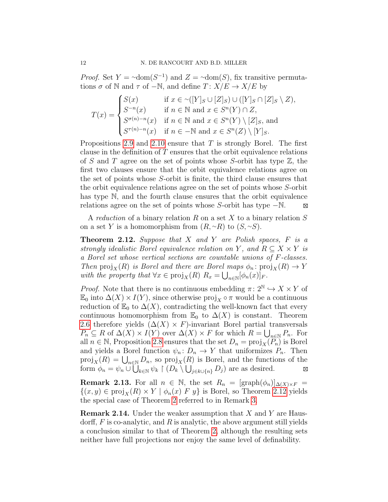*Proof.* Set  $Y = \text{dom}(S^{-1})$  and  $Z = \text{dom}(S)$ , fix transitive permutations  $\sigma$  of N and  $\tau$  of −N, and define  $T: X/E \to X/E$  by

$$
T(x) = \begin{cases} S(x) & \text{if } x \in \sim([Y]_S \cup [Z]_S) \cup ([Y]_S \cap [Z]_S \setminus Z), \\ S^{-n}(x) & \text{if } n \in \mathbb{N} \text{ and } x \in S^n(Y) \cap Z, \\ S^{\sigma(n)-n}(x) & \text{if } n \in \mathbb{N} \text{ and } x \in S^n(Y) \setminus [Z]_S, \text{ and} \\ S^{\tau(n)-n}(x) & \text{if } n \in -\mathbb{N} \text{ and } x \in S^n(Z) \setminus [Y]_S. \end{cases}
$$

Propositions [2.9](#page-10-0) and [2.10](#page-10-1) ensure that  $T$  is strongly Borel. The first clause in the definition of  $T$  ensures that the orbit equivalence relations of S and T agree on the set of points whose S-orbit has type  $\mathbb{Z}$ , the first two clauses ensure that the orbit equivalence relations agree on the set of points whose S-orbit is finite, the third clause ensures that the orbit equivalence relations agree on the set of points whose S-orbit has type N, and the fourth clause ensures that the orbit equivalence relations agree on the set of points whose S-orbit has type −N.  $\boxtimes$ 

A reduction of a binary relation R on a set X to a binary relation  $S$ on a set Y is a homomorphism from  $(R, \sim R)$  to  $(S, \sim S)$ .

<span id="page-11-0"></span>**Theorem 2.12.** Suppose that  $X$  and  $Y$  are Polish spaces,  $F$  is a strongly idealistic Borel equivalence relation on Y, and  $R \subseteq X \times Y$  is a Borel set whose vertical sections are countable unions of F-classes. Then  $\text{proj}_X(R)$  is Borel and there are Borel maps  $\phi_n : \text{proj}_X(R) \to Y$ with the property that  $\forall x \in \text{proj}_X(R)$   $R_x = \bigcup_{n \in \mathbb{N}} [\phi_n(x)]_F$ .

*Proof.* Note that there is no continuous embedding  $\pi: 2^{\mathbb{N}} \hookrightarrow X \times Y$  of  $\mathbb{E}_0$  into  $\Delta(X) \times I(Y)$ , since otherwise proj<sub>X</sub> ∘ π would be a continuous reduction of  $\mathbb{E}_0$  to  $\Delta(X)$ , contradicting the well-known fact that every continuous homomorphism from  $\mathbb{E}_0$  to  $\Delta(X)$  is constant. Theorem [2.6](#page-9-1) therefore yields  $(\Delta(X) \times F)$ -invariant Borel partial transversals  $P_n \subseteq R$  of  $\Delta(X) \times I(Y)$  over  $\Delta(X) \times F$  for which  $R = \bigcup_{n \in \mathbb{N}} P_n$ . For all  $n \in \mathbb{N}$ , Proposition [2.8](#page-9-0) ensures that the set  $D_n = \text{proj}_X(\widetilde{P_n})$  is Borel and yields a Borel function  $\psi_n: D_n \to Y$  that uniformizes  $P_n$ . Then  $proj_X(R) = \bigcup_{n \in \mathbb{N}} D_n$ , so  $proj_X(R)$  is Borel, and the functions of the form  $\phi_n = \psi_n \cup \bigcup_{k \in \mathbb{N}} \psi_k \upharpoonright (D_k \setminus \bigcup_{j \in k \cup \{n\}} D_j)$  are as desired.  $\boxtimes$ 

**Remark 2.13.** For all  $n \in \mathbb{N}$ , the set  $R_n = [\text{graph}(\phi_n)]_{\Delta(X)\times F}$  $\{(x, y) \in \text{proj}_X(R) \times Y \mid \phi_n(x) \ F \ y\}$  is Borel, so Theorem [2.12](#page-11-0) yields the special case of Theorem [2](#page-1-0) referred to in Remark [3.](#page-2-0)

**Remark 2.14.** Under the weaker assumption that  $X$  and  $Y$  are Hausdorff,  $F$  is co-analytic, and  $R$  is analytic, the above argument still yields a conclusion similar to that of Theorem [2,](#page-1-0) although the resulting sets neither have full projections nor enjoy the same level of definability.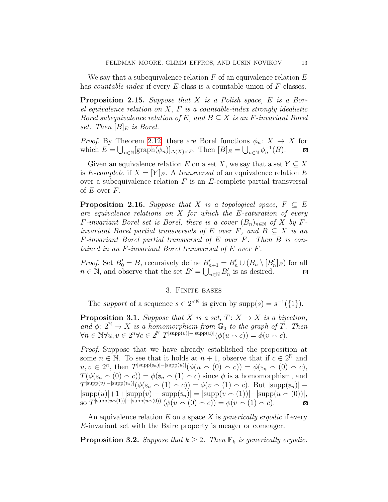We say that a subequivalence relation  $F$  of an equivalence relation  $E$ has *countable index* if every E-class is a countable union of F-classes.

<span id="page-12-1"></span>**Proposition 2.15.** Suppose that  $X$  is a Polish space,  $E$  is a Borel equivalence relation on  $X$ ,  $F$  is a countable-index strongly idealistic Borel subequivalence relation of E, and  $B \subseteq X$  is an F-invariant Borel set. Then  $[B]_E$  is Borel.

*Proof.* By Theorem [2.12,](#page-11-0) there are Borel functions  $\phi_n: X \to X$  for which  $E = \bigcup_{n \in \mathbb{N}} [\text{graph}(\phi_n)]_{\Delta(X) \times F}$ . Then  $[B]_E = \bigcup_{n \in \mathbb{N}} \phi_n^{-1}(B)$ .  $\boxtimes$ 

Given an equivalence relation E on a set X, we say that a set  $Y \subseteq X$ is E-complete if  $X = [Y]_E$ . A transversal of an equivalence relation E over a subequivalence relation  $F$  is an  $E$ -complete partial transversal of  $E$  over  $F$ .

<span id="page-12-3"></span>**Proposition 2.16.** Suppose that X is a topological space,  $F \subseteq E$ are equivalence relations on  $X$  for which the E-saturation of every F-invariant Borel set is Borel, there is a cover  $(B_n)_{n\in\mathbb{N}}$  of X by Finvariant Borel partial transversals of E over F, and  $B \subseteq X$  is an F-invariant Borel partial transversal of E over F. Then B is contained in an F-invariant Borel transversal of E over F.

*Proof.* Set  $B'_0 = B$ , recursively define  $B'_{n+1} = B'_n \cup (B_n \setminus [B'_n]_E)$  for all  $n \in \mathbb{N}$ , and observe that the set  $B' = \bigcup_{n \in \mathbb{N}}^n B'_n$  is as desired.

## 3. Finite bases

<span id="page-12-0"></span>The *support* of a sequence  $s \in 2^{\lt N}$  is given by  $\text{supp}(s) = s^{-1}(\{1\}).$ 

<span id="page-12-4"></span>**Proposition 3.1.** Suppose that X is a set,  $T: X \rightarrow X$  is a bijection, and  $\phi: 2^{\mathbb{N}} \to X$  is a homomorphism from  $\mathbb{G}_0$  to the graph of T. Then  $\forall n \in \mathbb{N} \forall u, v \in 2^{n} \forall c \in 2^{\mathbb{N}} \ T^{|\text{supp}(v)| - |\text{supp}(u)|} (\phi(u \wedge c)) = \phi(v \wedge c).$ 

Proof. Suppose that we have already established the proposition at some  $n \in \mathbb{N}$ . To see that it holds at  $n+1$ , observe that if  $c \in 2^{\mathbb{N}}$  and  $u, v \in 2^n$ , then T<sup>|supp(\$n)|−|supp(u)|</sup>( $\phi(u \wedge (0) \wedge c)$ ) =  $\phi$ (\$<sub>n</sub>  $\wedge$  (0)  $\wedge$  c),  $T(\phi(\mathfrak{s}_n \cap (0) \cap c)) = \phi(\mathfrak{s}_n \cap (1) \cap c)$  since  $\phi$  is a homomorphism, and  $T^{|\text{supp}(v)|-|\text{supp}(\mathfrak{s}_n)|}(\phi(\mathfrak{s}_n \wedge (1) \wedge c)) = \phi(v \wedge (1) \wedge c).$  But  $|\text{supp}(\mathfrak{s}_n)| |\text{supp}(u)|+1+|\text{supp}(v)|-|\text{supp}(s_n)|=|\text{supp}(v\smallfrown(1))|-|\text{supp}(u\smallfrown(0))|,$  $\sup T^{|\text{supp}(v\sim(1))| - |\text{supp}(u\sim(0))|}(\phi(u\sim(0)\sim c)) = \phi(v\sim(1)\sim c).$  $\boxtimes$ 

An equivalence relation E on a space X is *generically ergodic* if every E-invariant set with the Baire property is meager or comeager.

<span id="page-12-2"></span>**Proposition 3.2.** Suppose that  $k \geq 2$ . Then  $\mathbb{F}_k$  is generically ergodic.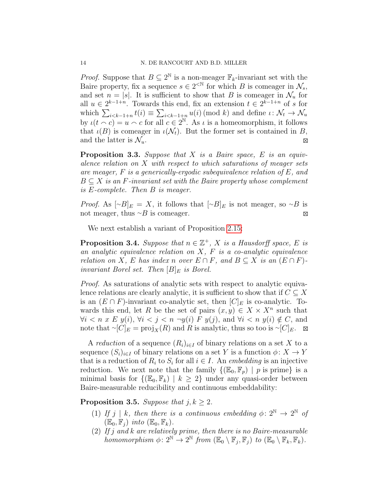*Proof.* Suppose that  $B \subseteq 2^{\mathbb{N}}$  is a non-meager  $\mathbb{F}_k$ -invariant set with the Baire property, fix a sequence  $s \in 2^{\lt N}$  for which B is comeager in  $\mathcal{N}_s$ , and set  $n = |s|$ . It is sufficient to show that B is comeager in  $\mathcal{N}_u$  for all  $u \in 2^{k-1+n}$ . Towards this end, fix an extension  $t \in 2^{k-1+n}$  of s for which  $\sum_{i \leq k-1+n} t(i) \equiv \sum_{i \leq k-1+n} u(i) \pmod{k}$  and define  $\iota \colon \mathcal{N}_t \to \mathcal{N}_u$ by  $\iota(t \nco) = u \nco t$  for all  $c \in 2^{\mathbb{N}}$ . As  $\iota$  is a homeomorphism, it follows that  $\iota(B)$  is comeager in  $\iota(\mathcal{N}_t)$ . But the former set is contained in B, and the latter is  $\mathcal{N}_u$ . ⊠

<span id="page-13-0"></span>**Proposition 3.3.** Suppose that  $X$  is a Baire space,  $E$  is an equivalence relation on  $X$  with respect to which saturations of meager sets are meager,  $F$  is a generically-ergodic subequivalence relation of  $E$ , and  $B \subseteq X$  is an F-invariant set with the Baire property whose complement is E-complete. Then B is meager.

*Proof.* As  $[~\sim B]_E = X$ , it follows that  $[~\sim B]_E$  is not meager, so  $\sim B$  is not meager, thus  $\sim$ B is comeager.  $\boxtimes$ 

We next establish a variant of Proposition [2.15:](#page-12-1)

<span id="page-13-1"></span>**Proposition 3.4.** Suppose that  $n \in \mathbb{Z}^+$ , X is a Hausdorff space, E is an analytic equivalence relation on  $X$ ,  $F$  is a co-analytic equivalence relation on X, E has index n over  $E \cap F$ , and  $B \subseteq X$  is an  $(E \cap F)$ invariant Borel set. Then  $[B]_E$  is Borel.

Proof. As saturations of analytic sets with respect to analytic equivalence relations are clearly analytic, it is sufficient to show that if  $C \subseteq X$ is an  $(E \cap F)$ -invariant co-analytic set, then  $[C]_E$  is co-analytic. Towards this end, let R be the set of pairs  $(x, y) \in X \times X^n$  such that  $\forall i < n \ x \ E \ y(i), \ \forall i < j < n \ \neg y(i) \ F \ y(j), \text{ and } \forall i < n \ y(i) \notin C, \text{ and }$ note that  $\sim [C]_E = \text{proj}_X(R)$  and R is analytic, thus so too is  $\sim [C]_E$ . ⊠

A reduction of a sequence  $(R_i)_{i\in I}$  of binary relations on a set X to a sequence  $(S_i)_{i\in I}$  of binary relations on a set Y is a function  $\phi \colon X \to Y$ that is a reduction of  $R_i$  to  $S_i$  for all  $i \in I$ . An *embedding* is an injective reduction. We next note that the family  $\{(\mathbb{E}_0, \mathbb{F}_n) \mid p \text{ is prime}\}\$ is a minimal basis for  $\{(\mathbb{E}_0, \mathbb{F}_k) \mid k \geq 2\}$  under any quasi-order between Baire-measurable reducibility and continuous embeddability:

<span id="page-13-2"></span>**Proposition 3.5.** Suppose that  $j, k \geq 2$ .

- (1) If j | k, then there is a continuous embedding  $\phi: 2^{\mathbb{N}} \to 2^{\mathbb{N}}$  of  $(\mathbb{E}_0, \mathbb{F}_i)$  into  $(\mathbb{E}_0, \mathbb{F}_k)$ .
- (2) If j and k are relatively prime, then there is no Baire-measurable homomorphism  $\phi: 2^{\mathbb{N}} \to 2^{\mathbb{N}}$  from  $(\mathbb{E}_0 \setminus \mathbb{F}_j, \mathbb{F}_j)$  to  $(\mathbb{E}_0 \setminus \mathbb{F}_k, \mathbb{F}_k)$ .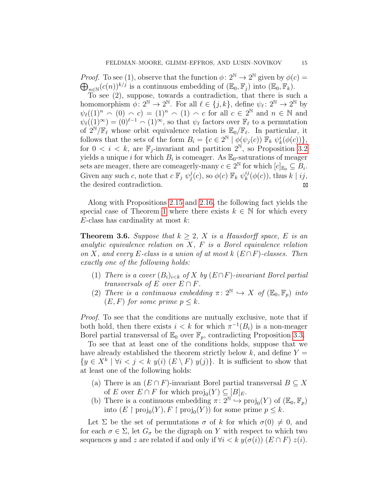*Proof.* To see (1), observe that the function  $\phi: 2^{\mathbb{N}} \to 2^{\mathbb{N}}$  given by  $\phi(c)$  =  $\bigoplus_{n\in\mathbb{N}}(c(n))^{k/j}$  is a continuous embedding of  $(\mathbb{E}_0,\mathbb{F}_j)$  into  $(\mathbb{E}_0,\mathbb{F}_k)$ .

To see (2), suppose, towards a contradiction, that there is such a homomorphism  $\phi: 2^{\mathbb{N}} \to 2^{\mathbb{N}}$ . For all  $\ell \in \{j, k\}$ , define  $\psi_{\ell}: 2^{\mathbb{N}} \to 2^{\mathbb{N}}$  by  $\psi_{\ell}(1)^n \cap (0) \cap c) = (1)^n \cap (1) \cap c$  for all  $c \in 2^{\mathbb{N}}$  and  $n \in \mathbb{N}$  and  $\psi_{\ell}(1^{\infty}) = (0)^{\ell-1} \cap (1)^{\infty}$ , so that  $\psi_{\ell}$  factors over  $\mathbb{F}_{\ell}$  to a permutation of  $2^N/\mathbb{F}_\ell$  whose orbit equivalence relation is  $\mathbb{E}_0/\mathbb{F}_\ell$ . In particular, it follows that the sets of the form  $B_i = \{c \in 2^{\mathbb{N}} \mid \phi(\psi_j(c)) \mathbb{F}_k \ \psi_k^i(\phi(c))\},\$ for  $0 < i < k$ , are  $\mathbb{F}_j$ -invariant and partition  $2^{\mathbb{N}}$ , so Proposition [3.2](#page-12-2) yields a unique i for which  $B_i$  is comeager. As  $\mathbb{E}_0$ -saturations of meager sets are meager, there are comeagerly-many  $c \in 2^{\mathbb{N}}$  for which  $[c]_{\mathbb{E}_0} \subseteq B_i$ . Given any such c, note that  $c \mathbb{F}_j \psi_j^j$  $j^j(c),$  so  $\phi(c)$   $\mathbb{F}_k$   $\psi_k^{ij}$  $_{k}^{ij}(\phi(c))$ , thus  $k \mid ij$ , the desired contradiction.  $\boxtimes$ 

Along with Propositions [2.15](#page-12-1) and [2.16,](#page-12-3) the following fact yields the special case of Theorem [1](#page-1-1) where there exists  $k \in \mathbb{N}$  for which every  $E$ -class has cardinality at most  $k$ :

<span id="page-14-0"></span>**Theorem 3.6.** Suppose that  $k \geq 2$ , X is a Hausdorff space, E is an analytic equivalence relation on  $X$ ,  $F$  is a Borel equivalence relation on X, and every E-class is a union of at most  $k$  (E $\cap$ F)-classes. Then exactly one of the following holds:

- (1) There is a cover  $(B_i)_{i\leq k}$  of X by  $(E\cap F)$ -invariant Borel partial transversals of E over  $E \cap F$ .
- (2) There is a continuous embedding  $\pi: 2^{\mathbb{N}} \hookrightarrow X$  of  $(\mathbb{E}_0, \mathbb{F}_p)$  into  $(E, F)$  for some prime  $p \leq k$ .

Proof. To see that the conditions are mutually exclusive, note that if both hold, then there exists  $i < k$  for which  $\pi^{-1}(B_i)$  is a non-meager Borel partial transversal of  $\mathbb{E}_0$  over  $\mathbb{F}_p$ , contradicting Proposition [3.3.](#page-13-0)

To see that at least one of the conditions holds, suppose that we have already established the theorem strictly below k, and define  $Y =$  $\{y \in X^k \mid \forall i < j < k \ y(i) \ (E \setminus F) \ y(j)\}.$  It is sufficient to show that at least one of the following holds:

- (a) There is an  $(E \cap F)$ -invariant Borel partial transversal  $B \subseteq X$ of E over  $E \cap F$  for which  $\text{proj}_0(Y) \subseteq [B]_E$ .
- (b) There is a continuous embedding  $\pi \colon \overline{2^N} \hookrightarrow \text{proj}_0(Y)$  of  $(\mathbb{E}_0, \mathbb{F}_p)$ into  $(E \restriction \text{proj}_0(Y), F \restriction \text{proj}_0(Y))$  for some prime  $p \leq k$ .

Let  $\Sigma$  be the set of permutations  $\sigma$  of k for which  $\sigma(0) \neq 0$ , and for each  $\sigma \in \Sigma$ , let  $G_{\sigma}$  be the digraph on Y with respect to which two sequences y and z are related if and only if  $\forall i < k$   $y(\sigma(i))$   $(E \cap F)$   $z(i)$ .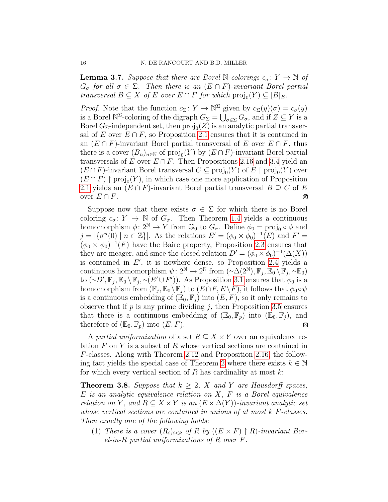**Lemma 3.7.** Suppose that there are Borel N-colorings  $c_{\sigma}: Y \to \mathbb{N}$  of  $G_{\sigma}$  for all  $\sigma \in \Sigma$ . Then there is an  $(E \cap F)$ -invariant Borel partial transversal  $B \subseteq X$  of E over  $E \cap F$  for which  $\text{proj}_0(Y) \subseteq [B]_E$ .

*Proof.* Note that the function  $c_{\Sigma}: Y \to \mathbb{N}^{\Sigma}$  given by  $c_{\Sigma}(y)(\sigma) = c_{\sigma}(y)$ is a Borel  $\mathbb{N}^{\Sigma}$ -coloring of the digraph  $G_{\Sigma} = \bigcup_{\sigma \in \Sigma} G_{\sigma}$ , and if  $Z \subseteq Y$  is a Borel  $G_{\Sigma}$ -independent set, then  $\text{proj}_{0}(Z)$  is an analytic partial transversal of E over  $E \cap F$ , so Proposition [2.1](#page-7-1) ensures that it is contained in an  $(E \cap F)$ -invariant Borel partial transversal of E over  $E \cap F$ , thus there is a cover  $(B_n)_{n\in\mathbb{N}}$  of  $\text{proj}_0(Y)$  by  $(E \cap F)$ -invariant Borel partial transversals of E over  $E \cap F$ . Then Propositions [2.16](#page-12-3) and [3.4](#page-13-1) yield an  $(E \cap F)$ -invariant Borel transversal  $C \subseteq \text{proj}_0(Y)$  of  $E \restriction \text{proj}_0(Y)$  over  $(E \cap F)$  | proj<sub>0</sub> $(Y)$ , in which case one more application of Proposition [2.1](#page-7-1) yields an  $(E \cap F)$ -invariant Borel partial transversal  $B \supseteq C$  of E over  $E \cap F$ . ⊠

Suppose now that there exists  $\sigma \in \Sigma$  for which there is no Borel coloring  $c_{\sigma} : Y \to \mathbb{N}$  of  $G_{\sigma}$ . Then Theorem [1.4](#page-5-0) yields a continuous homomorphism  $\phi: 2^{\mathbb{N}} \to Y$  from  $\mathbb{G}_0$  to  $G_{\sigma}$ . Define  $\phi_0 = \text{proj}_0 \circ \phi$  and  $j = |\{\sigma^n(0) \mid n \in \mathbb{Z}\}|.$  As the relations  $E' = (\phi_0 \times \phi_0)^{-1}(E)$  and  $F' =$  $(\phi_0 \times \phi_0)^{-1}(F)$  have the Baire property, Proposition [2.3](#page-7-2) ensures that they are meager, and since the closed relation  $D' = (\phi_0 \times \phi_0)^{-1}(\Delta(X))$ is contained in  $E'$ , it is nowhere dense, so Proposition [2.4](#page-8-0) yields a continuous homomorphism  $\psi: 2^{\mathbb{N}} \to 2^{\mathbb{N}}$  from  $\left(\sim \Delta(2^{\mathbb{N}}), \mathbb{F}_j, \mathbb{E}_0 \setminus \mathbb{F}_j, \sim \mathbb{E}_0\right)$ to  $( \sim D', \mathbb{F}_j, \mathbb{E}_0 \setminus \mathbb{F}_j, \sim (E' \cup F'))$ . As Proposition [3.1](#page-12-4) ensures that  $\phi_0$  is a homomorphism from  $(\mathbb{F}_j, \mathbb{E}_0 \setminus \mathbb{F}_j)$  to  $(E \cap F, E \setminus F)$ , it follows that  $\phi_0 \circ \psi$ is a continuous embedding of  $(\mathbb{E}_0, \mathbb{F}_i)$  into  $(E, F)$ , so it only remains to observe that if  $p$  is any prime dividing  $j$ , then Proposition [3.5](#page-13-2) ensures that there is a continuous embedding of  $(\mathbb{E}_0, \mathbb{F}_p)$  into  $(\mathbb{E}_0, \mathbb{F}_j)$ , and therefore of  $(\mathbb{E}_0, \mathbb{F}_p)$  into  $(E, F)$ .  $\boxtimes$ 

A partial uniformization of a set  $R \subseteq X \times Y$  over an equivalence relation  $F$  on  $Y$  is a subset of  $R$  whose vertical sections are contained in F-classes. Along with Theorem [2.12](#page-11-0) and Proposition [2.16,](#page-12-3) the follow-ing fact yields the special case of Theorem [2](#page-1-0) where there exists  $k \in \mathbb{N}$ for which every vertical section of  $R$  has cardinality at most  $k$ :

<span id="page-15-0"></span>**Theorem 3.8.** Suppose that  $k \geq 2$ , X and Y are Hausdorff spaces,  $E$  is an analytic equivalence relation on  $X$ ,  $F$  is a Borel equivalence relation on Y, and  $R \subseteq X \times Y$  is an  $(E \times \Delta(Y))$ -invariant analytic set whose vertical sections are contained in unions of at most k F-classes. Then exactly one of the following holds:

(1) There is a cover  $(R_i)_{i \leq k}$  of R by  $((E \times F) \restriction R)$ -invariant Borel-in-R partial uniformizations of R over F.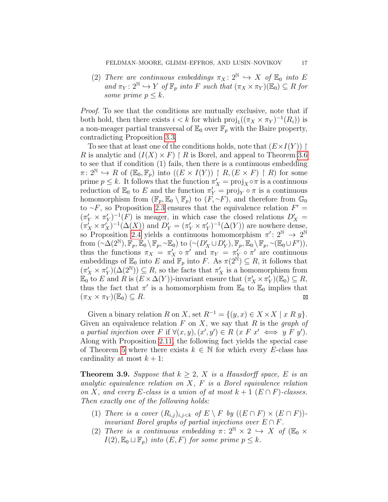(2) There are continuous embeddings  $\pi_X: 2^{\mathbb{N}} \hookrightarrow X$  of  $\mathbb{E}_0$  into E and  $\pi_Y: 2^{\mathbb{N}} \hookrightarrow Y$  of  $\mathbb{F}_p$  into F such that  $(\pi_X \times \pi_Y)(\mathbb{E}_0) \subseteq R$  for some prime  $p \leq k$ .

Proof. To see that the conditions are mutually exclusive, note that if both hold, then there exists  $i < k$  for which  $proj_1((\pi_X \times \pi_Y)^{-1}(R_i))$  is a non-meager partial transversal of  $\mathbb{E}_0$  over  $\mathbb{F}_p$  with the Baire property, contradicting Proposition [3.3.](#page-13-0)

To see that at least one of the conditions holds, note that  $(E \times I(Y))$ R is analytic and  $(I(X) \times F) \upharpoonright R$  is Borel, and appeal to Theorem [3.6](#page-14-0) to see that if condition (1) fails, then there is a continuous embedding  $\pi\colon 2^{\mathbb{N}}\hookrightarrow R$  of  $(\mathbb{E}_0,\mathbb{F}_p)$  into  $((E\times I(Y))\upharpoonright R,(E\times F)\upharpoonright R)$  for some prime  $p \leq k$ . It follows that the function  $\pi'_X = \text{proj}_X \circ \pi$  is a continuous reduction of  $\mathbb{E}_0$  to E and the function  $\pi'_Y = \text{proj}_Y \circ \pi$  is a continuous homomorphism from  $(\mathbb{F}_p, \mathbb{E}_0 \setminus \mathbb{F}_p)$  to  $(F, \sim F)$ , and therefore from  $\mathbb{G}_0$ to ∼F, so Proposition [2.3](#page-7-2) ensures that the equivalence relation  $F' =$  $(\pi'_Y \times \pi'_Y)^{-1}(F)$  is meager, in which case the closed relations  $D'_X =$  $(\pi'_X \times \pi'_X)^{-1}(\Delta(X))$  and  $D'_Y = (\pi'_Y \times \pi'_Y)^{-1}(\Delta(Y))$  are nowhere dense, so Proposition [2.4](#page-8-0) yields a continuous homomorphism  $\pi$ ':  $2^{\mathbb{N}} \to 2^{\mathbb{N}}$  $\text{from } (\sim\Delta(2^{\mathbb{N}}), \mathbb{F}_p, \mathbb{E}_0 \setminus \mathbb{F}_p, \sim \mathbb{E}_0) \text{ to } (\sim(D'_X \cup D'_Y), \mathbb{F}_p, \mathbb{E}_0 \setminus \mathbb{F}_p, \sim(\mathbb{E}_0 \cup F')),$ thus the functions  $\pi_X = \pi'_X \circ \pi'$  and  $\pi_Y = \pi'_Y \circ \pi'$  are continuous embeddings of  $\mathbb{E}_0$  into E and  $\mathbb{F}_p$  into F. As  $\pi(2^{\mathbb{N}}) \subseteq R$ , it follows that  $(\pi_X \times \pi_Y)(\Delta(2^{\mathbb{N}})) \subseteq R$ , so the facts that  $\pi_X$  is a homomorphism from  $\mathbb{E}_0$  to E and R is  $(E \times \Delta(Y))$ -invariant ensure that  $(\pi_X' \times \pi_Y')(\mathbb{E}_0) \subseteq R$ , thus the fact that  $\pi'$  is a homomorphism from  $\mathbb{E}_0$  to  $\mathbb{E}_0$  implies that  $(\pi_X \times \pi_Y)(\mathbb{E}_0) \subseteq R$ .  $\boxtimes$ 

Given a binary relation R on X, set  $R^{-1} = \{(y, x) \in X \times X \mid x \mathbb{R} y\}.$ Given an equivalence relation  $F$  on  $X$ , we say that  $R$  is the graph of a partial injection over F if  $\forall (x, y), (x', y') \in R$   $(x F x' \iff y F y')$ . Along with Proposition [2.11,](#page-10-2) the following fact yields the special case of Theorem [5](#page-2-1) where there exists  $k \in \mathbb{N}$  for which every E-class has cardinality at most  $k + 1$ :

<span id="page-16-0"></span>**Theorem 3.9.** Suppose that  $k \geq 2$ , X is a Hausdorff space, E is an analytic equivalence relation on  $X$ ,  $F$  is a Borel equivalence relation on X, and every E-class is a union of at most  $k + 1$   $(E \cap F)$ -classes. Then exactly one of the following holds:

- (1) There is a cover  $(R_{i,j})_{i,j\leq k}$  of  $E \setminus F$  by  $((E \cap F) \times (E \cap F))$ invariant Borel graphs of partial injections over  $E \cap F$ .
- (2) There is a continuous embedding  $\pi: 2^N \times 2 \hookrightarrow X$  of  $(\mathbb{E}_0 \times$  $I(2), \mathbb{E}_0 \sqcup \mathbb{F}_p$  into  $(E, F)$  for some prime  $p \leq k$ .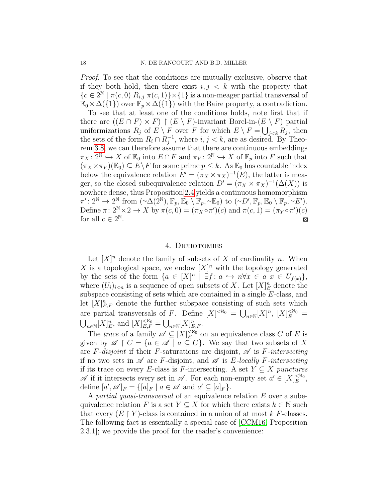Proof. To see that the conditions are mutually exclusive, observe that if they both hold, then there exist  $i, j \lt k$  with the property that  ${c \in 2^{\mathbb{N}} \mid \pi(c,0) R_{i,j} \pi(c,1)} \times {1}$  is a non-meager partial transversal of  $\mathbb{E}_0 \times \Delta({1})$  over  $\mathbb{F}_p \times \Delta({1})$  with the Baire property, a contradiction.

To see that at least one of the conditions holds, note first that if there are  $((E \cap F) \times F) \restriction (E \setminus F)$ -invariant Borel-in- $(E \setminus F)$  partial uniformizations  $R_j$  of  $E \setminus F_j$  over F for which  $E \setminus F = \bigcup_{j < k} R_j$ , then the sets of the form  $R_i \cap R_i^{-1}$  $j^{-1}$ , where  $i, j < k$ , are as desired. By Theorem [3.8,](#page-15-0) we can therefore assume that there are continuous embeddings  $\pi_X\colon 2^{\mathbb{N}}\hookrightarrow X$  of  $\mathbb{E}_0$  into  $E\cap F$  and  $\pi_Y\colon 2^{\mathbb{N}}\hookrightarrow X$  of  $\mathbb{F}_p$  into  $F$  such that  $(\pi_X \times \pi_Y)(\mathbb{E}_0) \subseteq E \backslash F$  for some prime  $p \leq k$ . As  $\mathbb{E}_0$  has countable index below the equivalence relation  $E' = (\pi_X \times \pi_X)^{-1}(E)$ , the latter is meager, so the closed subequivalence relation  $D' = (\pi_X \times \pi_X)^{-1}(\Delta(X))$  is nowhere dense, thus Proposition [2.4](#page-8-0) yields a continuous homomorphism  $\pi' \colon 2^{\mathbb{N}} \to 2^{\mathbb{N}}$  from  $\left(\sim \Delta(2^{\mathbb{N}}), \mathbb{F}_p, \mathbb{E}_0 \setminus \mathbb{F}_p, \sim \mathbb{E}_0\right)$  to  $\left(\sim D', \mathbb{F}_p, \mathbb{E}_0 \setminus \mathbb{F}_p, \sim E'\right)$ . Define  $\pi: 2^{\mathbb{N}} \times 2 \to X$  by  $\pi(c, 0) = (\pi_X \circ \pi')(c)$  and  $\pi(c, 1) = (\pi_Y \circ \pi')(c)$ for all  $c \in 2^{\mathbb{N}}$ .

### 4. Dichotomies

<span id="page-17-0"></span>Let  $[X]^n$  denote the family of subsets of X of cardinality n. When X is a topological space, we endow  $[X]^n$  with the topology generated by the sets of the form  $\{a \in [X]^n \mid \exists f : a \hookrightarrow n \forall x \in a \ x \in U_{f(x)}\},\$ where  $(U_i)_{i \le n}$  is a sequence of open subsets of X. Let  $[X]_E^n$  denote the subspace consisting of sets which are contained in a single E-class, and let  $[X]_{E,F}^n$  denote the further subspace consisting of such sets which are partial transversals of F. Define  $[X]^{< \aleph_0} = \bigcup_{n \in \mathbb{N}} [X]^n$ ,  $[X]_E^{< \aleph_0} =$  $\bigcup_{n\in\mathbb{N}}[X]_E^n$ , and  $[X]_{E,F}^{\leq\aleph_0}=\bigcup_{n\in\mathbb{N}}[X]_{E,F}^n$ .

The *trace* of a family  $\mathscr{A} \subseteq [X]_E^{\leq \aleph_0}$  on an equivalence class C of E is given by  $\mathscr{A} \restriction C = \{a \in \mathscr{A} \mid a \subseteq C\}$ . We say that two subsets of X are F-disjoint if their F-saturations are disjoint,  $\mathscr A$  is F-intersecting if no two sets in  $\mathscr A$  are F-disjoint, and  $\mathscr A$  is E-locally F-intersecting if its trace on every E-class is F-intersecting. A set  $Y \subseteq X$  punctures  $\mathscr A$  if it intersects every set in  $\mathscr A$ . For each non-empty set  $a' \in [X]_E^{\langle \aleph_0 \rangle}$ , define  $[a', \mathscr{A}]_F = \{ [a]_F \mid a \in \mathscr{A} \text{ and } a' \subseteq [a]_F \}.$ 

A partial quasi-transversal of an equivalence relation  $E$  over a subequivalence relation F is a set  $Y \subseteq X$  for which there exists  $k \in \mathbb{N}$  such that every  $(E \restriction Y)$ -class is contained in a union of at most k F-classes. The following fact is essentially a special case of [\[CCM16,](#page-24-2) Proposition 2.3.1]; we provide the proof for the reader's convenience: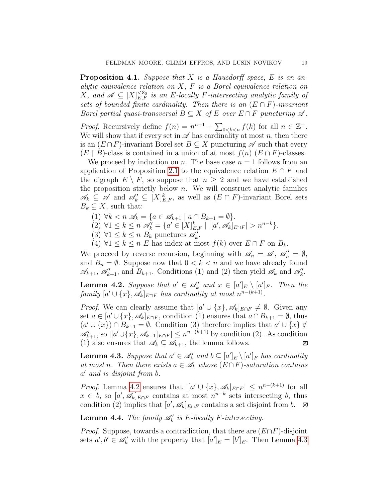<span id="page-18-2"></span>**Proposition 4.1.** Suppose that  $X$  is a Hausdorff space,  $E$  is an analytic equivalence relation on  $X$ ,  $F$  is a Borel equivalence relation on X, and  $\mathscr{A} \subseteq [X]_{E,F}^{\leq \aleph_0}$  is an E-locally F-intersecting analytic family of sets of bounded finite cardinality. Then there is an  $(E \cap F)$ -invariant Borel partial quasi-transversal  $B \subseteq X$  of E over  $E \cap F$  puncturing  $\mathscr A$ .

*Proof.* Recursively define  $f(n) = n^{n+1} + \sum_{0 \le k \le n} f(k)$  for all  $n \in \mathbb{Z}^+$ . We will show that if every set in  $\mathscr A$  has cardinality at most n, then there is an  $(E \cap F)$ -invariant Borel set  $B \subseteq X$  puncturing  $\mathscr A$  such that every  $(E \restriction B)$ -class is contained in a union of at most  $f(n)$   $(E \cap F)$ -classes.

We proceed by induction on n. The base case  $n = 1$  follows from an application of Proposition [2.1](#page-7-1) to the equivalence relation  $E \cap F$  and the digraph  $E \setminus F$ , so suppose that  $n \geq 2$  and we have established the proposition strictly below  $n$ . We will construct analytic families  $\mathscr{A}_k \subseteq \mathscr{A}$  and  $\mathscr{A}'_k \subseteq [X]^k_{E,F}$ , as well as  $(E \cap F)$ -invariant Borel sets  $B_k \subseteq X$ , such that:

- (1)  $\forall k < n \ \mathscr{A}_k = \{a \in \mathscr{A}_{k+1} \mid a \cap B_{k+1} = \emptyset\}.$
- (2)  $\forall 1 \leq k \leq n$   $\mathscr{A}'_k = \{a' \in [X]_{E,F}^k \mid |[a', \mathscr{A}_k]_{E \cap F}| > n^{n-k}\}.$
- (3)  $\forall 1 \leq k \leq n$   $B_k$  punctures  $\mathscr{A}_k^i$ .
- (4)  $\forall 1 \leq k \leq n \ E$  has index at most  $f(k)$  over  $E \cap F$  on  $B_k$ .

We proceed by reverse recursion, beginning with  $\mathscr{A}_n = \mathscr{A}, \ \mathscr{A}'_n = \emptyset$ , and  $B_n = \emptyset$ . Suppose now that  $0 < k < n$  and we have already found  $\mathscr{A}_{k+1}, \mathscr{A}'_{k+1}$ , and  $B_{k+1}$ . Conditions (1) and (2) then yield  $\mathscr{A}_k$  and  $\mathscr{A}'_k$ .

<span id="page-18-0"></span>**Lemma 4.2.** Suppose that  $a' \in \mathscr{A}_k'$  and  $x \in [a']_E \setminus [a']_F$ . Then the  $family [a' \cup \{x\}, \mathscr{A}_k]_{E \cap F}$  has cardinality at most  $n^{n-(k+1)}$ .

*Proof.* We can clearly assume that  $[a' \cup \{x\}, \mathscr{A}_k]_{E \cap F} \neq \emptyset$ . Given any set  $a \in [a' \cup \{x\}, \mathscr{A}_k]_{E \cap F}$ , condition (1) ensures that  $a \cap B_{k+1} = \emptyset$ , thus  $(a' \cup \{x\}) \cap B_{k+1} = \emptyset$ . Condition (3) therefore implies that  $a' \cup \{x\} \notin$  $\mathscr{A}'_{k+1}$ , so  $|[a' \cup \{x\}, \mathscr{A}_{k+1}]_{E \cap F}| \leq n^{n-(k+1)}$  by condition (2). As condition (1) also ensures that  $\mathscr{A}_k \subseteq \mathscr{A}_{k+1}$ , the lemma follows.

<span id="page-18-1"></span>**Lemma 4.3.** Suppose that  $a' \in \mathscr{A}'_k$  and  $b \subseteq [a']_E \setminus [a']_F$  has cardinality at most n. Then there exists  $a \in \mathscr{A}_k$  whose  $(E \cap F)$ -saturation contains a' and is disjoint from b.

*Proof.* Lemma [4.2](#page-18-0) ensures that  $|[a' \cup \{x\}, \mathscr{A}_k]_{E \cap F}| \leq n^{n-(k+1)}$  for all  $x \in b$ , so  $[a', \mathscr{A}_k]_{E \cap F}$  contains at most  $n^{n-k}$  sets intersecting b, thus condition (2) implies that  $[a', \mathscr{A}_k]_{E \cap F}$  contains a set disjoint from b.

**Lemma 4.4.** The family  $\mathscr{A}'_k$  is E-locally F-intersecting.

*Proof.* Suppose, towards a contradiction, that there are  $(E \cap F)$ -disjoint sets  $a', b' \in \mathscr{A}_{k}'$  with the property that  $[a']_E = [b']_E$ . Then Lemma [4.3](#page-18-1)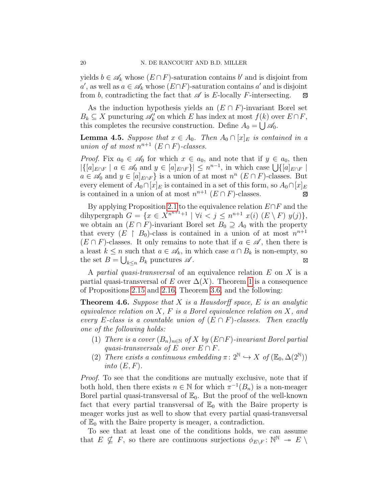yields  $b \in \mathscr{A}_k$  whose  $(E \cap F)$ -saturation contains  $b'$  and is disjoint from a', as well as  $a \in \mathscr{A}_k$  whose  $(E \cap F)$ -saturation contains a' and is disjoint from b, contradicting the fact that  $\mathscr A$  is E-locally F-intersecting. ⊠

As the induction hypothesis yields an  $(E \cap F)$ -invariant Borel set  $B_k \subseteq X$  puncturing  $\mathscr{A}'_k$  on which E has index at most  $f(k)$  over  $E \cap F$ , this completes the recursive construction. Define  $A_0 = \bigcup \mathscr{A}_0$ .

**Lemma 4.5.** Suppose that  $x \in A_0$ . Then  $A_0 \cap [x]_E$  is contained in a union of at most  $n^{n+1}$   $(E \cap F)$ -classes.

*Proof.* Fix  $a_0 \in \mathcal{A}_0$  for which  $x \in a_0$ , and note that if  $y \in a_0$ , then  $|\{[a]_{E\cap F} \mid a \in \mathscr{A}_0 \text{ and } y \in [a]_{E\cap F}\}| \leq n^{n-1}$ , in which case  $\bigcup \{[a]_{E\cap F} \mid a \in \mathscr{A}_0 \text{ and } y \in [a]_{E\cap F}\}\$  $a \in \mathscr{A}_0$  and  $y \in [a]_{E \cap F}$  is a union of at most  $n^n$   $(E \cap F)$ -classes. But every element of  $A_0 \cap [x]_E$  is contained in a set of this form, so  $A_0 \cap [x]_E$ is contained in a union of at most  $n^{n+1}$   $(E \cap F)$ -classes.

By applying Proposition [2.1](#page-7-1) to the equivalence relation  $E \cap F$  and the dihypergraph  $G = \{x \in X^{n^{n+1}+1} \mid \forall i \leq j \leq n^{n+1} \ x(i) \ (E \setminus F) \ y(j) \},\$ we obtain an  $(E \cap F)$ -invariant Borel set  $B_0 \supseteq A_0$  with the property that every  $(E \restriction B_0)$ -class is contained in a union of at most  $n^{n+1}$  $(E \cap F)$ -classes. It only remains to note that if  $a \in \mathscr{A}$ , then there is a least  $k \leq n$  such that  $a \in \mathscr{A}_k$ , in which case  $a \cap B_k$  is non-empty, so the set  $B = \bigcup_{k \leq n} B_k$  punctures  $\mathscr A$ .  $\boxtimes$ 

A partial quasi-transversal of an equivalence relation E on X is a partial quasi-transversal of E over  $\Delta(X)$ . Theorem [1](#page-1-1) is a consequence of Propositions [2.15](#page-12-1) and [2.16,](#page-12-3) Theorem [3.6,](#page-14-0) and the following:

<span id="page-19-0"></span>**Theorem 4.6.** Suppose that  $X$  is a Hausdorff space,  $E$  is an analytic equivalence relation on  $X$ ,  $F$  is a Borel equivalence relation on  $X$ , and every E-class is a countable union of  $(E \cap F)$ -classes. Then exactly one of the following holds:

- (1) There is a cover  $(B_n)_{n\in\mathbb{N}}$  of X by  $(E\cap F)$ -invariant Borel partial quasi-transversals of E over  $E \cap F$ .
- (2) There exists a continuous embedding  $\pi \colon 2^{\mathbb{N}} \hookrightarrow X$  of  $(\mathbb{E}_0, \Delta(2^{\mathbb{N}}))$ into  $(E, F)$ .

Proof. To see that the conditions are mutually exclusive, note that if both hold, then there exists  $n \in \mathbb{N}$  for which  $\pi^{-1}(B_n)$  is a non-meager Borel partial quasi-transversal of  $\mathbb{E}_0$ . But the proof of the well-known fact that every partial transversal of  $\mathbb{E}_0$  with the Baire property is meager works just as well to show that every partial quasi-transversal of  $\mathbb{E}_0$  with the Baire property is meager, a contradiction.

To see that at least one of the conditions holds, we can assume that  $E \nsubseteq F$ , so there are continuous surjections  $\phi_{E \backslash F} : \mathbb{N}^{\mathbb{N}} \to E \setminus$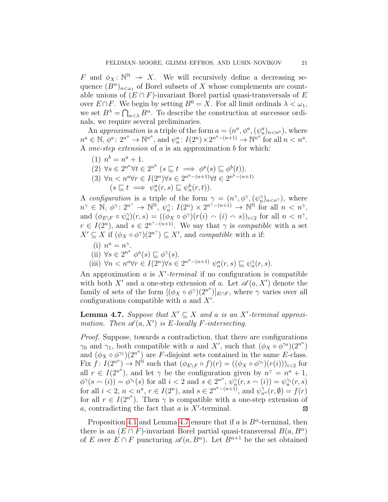F and  $\phi_X : \mathbb{N}^{\mathbb{N}} \to X$ . We will recursively define a decreasing sequence  $(B^{\alpha})_{\alpha<\omega_1}$  of Borel subsets of X whose complements are countable unions of  $(E \cap F)$ -invariant Borel partial quasi-transversals of E over  $E \cap F$ . We begin by setting  $B^0 = X$ . For all limit ordinals  $\lambda < \omega_1$ , we set  $B^{\lambda} = \bigcap_{\alpha < \lambda} B^{\alpha}$ . To describe the construction at successor ordinals, we require several preliminaries.

An approximation is a triple of the form  $a = (n^a, \phi^a, (\psi^a_n)_{n \leq n^a})$ , where  $n^a \in \mathbb{N}, \phi^a : 2^{n^a} \to \mathbb{N}^{n^a}, \text{ and } \psi^a_n : I(2^n) \times 2^{n^a - (n+1)} \to \mathbb{N}^{n^a} \text{ for all } n < n^a.$ A *one-step extension* of  $\alpha$  is an approximation  $\beta$  for which:

- (1)  $n^b = n^a + 1$ .
- (2)  $\forall s \in 2^{n^a} \forall t \in 2^{n^b} \ (s \sqsubseteq t \implies \phi^a(s) \sqsubseteq \phi^b(t)).$
- (3)  $\forall n < n^a \forall r \in I(2^n) \forall s \in 2^{n^a (n+1)} \forall t \in 2^{n^b (n+1)}$  $(s \sqsubseteq t \implies \psi_n^a(r,s) \sqsubseteq \psi_n^b(r,t)).$

A configuration is a triple of the form  $\gamma = (n^{\gamma}, \phi^{\gamma}, (\psi_n^{\gamma})_{n \leq n^{\gamma}})$ , where  $n^{\gamma} \in \mathbb{N}, \ \phi^{\gamma} \colon 2^{n^{\gamma}} \to \mathbb{N}^{\mathbb{N}}, \ \psi_n^{\gamma} \colon I(2^n) \times 2^{n^{\gamma} - (n+1)} \to \mathbb{N}^{\mathbb{N}} \text{ for all } n \lt n^{\gamma},$ and  $(\phi_{E\setminus F}\circ\psi_n^{\gamma})(r,s)=((\phi_X\circ\phi^{\gamma})(r(i)\frown(i)\frown s))_{i<2}$  for all  $n < n^{\gamma}$ ,  $r \in I(2^n)$ , and  $s \in 2^{n^{\gamma}-(n+1)}$ . We say that  $\gamma$  is *compatible* with a set  $X' \subseteq X$  if  $(\phi_X \circ \phi^{\gamma})(2^{n^{\gamma}}) \subseteq X'$ , and compatible with a if:

- (i)  $n^a = n^{\gamma}$ .
- (ii)  $\forall s \in 2^{n^a} \phi^a(s) \sqsubseteq \phi^{\gamma}(s)$ .
- (iii)  $\forall n \leq n^a \forall r \in I(2^n) \forall s \in 2^{n^a (n+1)} \psi_n^a(r, s) \sqsubseteq \psi_n^{\gamma}(r, s).$

An approximation  $a$  is  $X'-terminal$  if no configuration is compatible with both X' and a one-step extension of a. Let  $\mathscr{A}(a, X')$  denote the family of sets of the form  $[(\phi_X \circ \phi) (2^{n^a})]_{E \cap F}$ , where  $\gamma$  varies over all configurations compatible with  $a$  and  $X'$ .

<span id="page-20-0"></span>**Lemma 4.7.** Suppose that  $X' \subseteq X$  and a is an X'-terminal approximation. Then  $\mathscr{A}(a, X')$  is E-locally F-intersecting.

Proof. Suppose, towards a contradiction, that there are configurations  $\gamma_0$  and  $\gamma_1$ , both compatible with a and X', such that  $(\phi_X \circ \phi^{\gamma_0})(2^{n^a})$ and  $(\phi_X \circ \phi^{\gamma_1})(2^{n^a})$  are *F*-disjoint sets contained in the same *E*-class. Fix  $f: I(2^{n^a}) \to \mathbb{N}^{\mathbb{N}}$  such that  $(\phi_{E\setminus F} \circ f)(r) = ((\phi_X \circ \phi^{\gamma_i})(r(i)))_{i \leq 2}$  for all  $r \in I(2^{n^a})$ , and let  $\gamma$  be the configuration given by  $n^{\gamma} = n^a + 1$ ,  $\phi^{\gamma}(s \wedge (i)) = \phi^{\gamma_i}(s)$  for all  $i < 2$  and  $s \in 2^{n^a}, \psi^{\gamma_i}_{n}(r, s \wedge (i)) = \psi^{\gamma_i}_{n}(r, s)$ for all  $i < 2, n < n^a, r \in I(2^n)$ , and  $s \in 2^{n^a - (n+1)}$ , and  $\psi_{n^a}^{\gamma}(r, \emptyset) = f(r)$ for all  $r \in I(2^{n^a})$ . Then  $\gamma$  is compatible with a one-step extension of  $a$ , contradicting the fact that  $a$  is  $X'$ -terminal.

Proposition [4.1](#page-18-2) and Lemma [4.7](#page-20-0) ensure that if a is  $B^{\alpha}$ -terminal, then there is an  $(E \cap F)$ -invariant Borel partial quasi-transversal  $B(a, B^{\alpha})$ of E over  $E \cap F$  puncturing  $\mathscr{A}(a, B^{\alpha})$ . Let  $B^{\alpha+1}$  be the set obtained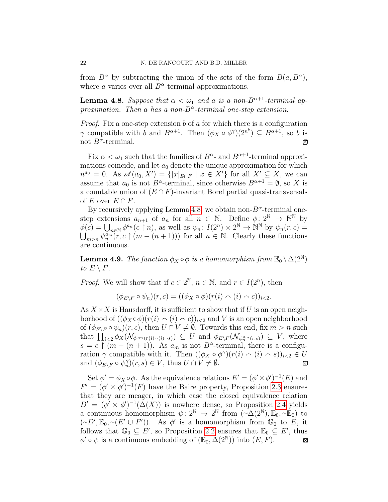from  $B^{\alpha}$  by subtracting the union of the sets of the form  $B(a, B^{\alpha})$ , where *a* varies over all  $B^{\alpha}$ -terminal approximations.

<span id="page-21-0"></span>**Lemma 4.8.** Suppose that  $\alpha < \omega_1$  and a is a non-B<sup> $\alpha+1$ </sup>-terminal approximation. Then a has a non- $B^{\alpha}$ -terminal one-step extension.

*Proof.* Fix a one-step extension  $b$  of  $a$  for which there is a configuration  $\gamma$  compatible with b and  $B^{\alpha+1}$ . Then  $(\phi_X \circ \phi)$ <sup>n</sup> $(2^{n^b}) \subseteq B^{\alpha+1}$ , so b is not  $B^{\alpha}$ -terminal.

Fix  $\alpha < \omega_1$  such that the families of  $B^{\alpha}$ - and  $B^{\alpha+1}$ -terminal approximations coincide, and let  $a_0$  denote the unique approximation for which  $n^{a_0} = 0$ . As  $\mathscr{A}(a_0, X') = \{ [x]_{E \cap F} \mid x \in X' \}$  for all  $X' \subseteq X$ , we can assume that  $a_0$  is not  $B^{\alpha}$ -terminal, since otherwise  $B^{\alpha+1} = \emptyset$ , so X is a countable union of  $(E \cap F)$ -invariant Borel partial quasi-transversals of E over  $E \cap F$ .

By recursively applying Lemma [4.8,](#page-21-0) we obtain non- $B^{\alpha}$ -terminal onestep extensions  $a_{n+1}$  of  $a_n$  for all  $n \in \mathbb{N}$ . Define  $\phi: 2^{\mathbb{N}} \to \mathbb{N}^{\mathbb{N}}$  by  $\phi(c) = \bigcup_{n \in \mathbb{N}} \phi^{a_n}(c \restriction n)$ , as well as  $\psi_n \colon I(2^n) \times 2^{\mathbb{N}} \to \mathbb{N}^{\mathbb{N}}$  by  $\psi_n(r, c) =$  $\bigcup_{m>n} \psi_n^{a_m}(r,c \upharpoonright (m-(n+1)))$  for all  $n \in \mathbb{N}$ . Clearly these functions are continuous.

**Lemma 4.9.** The function  $\phi_X \circ \phi$  is a homomorphism from  $\mathbb{E}_0 \setminus \Delta(2^{\mathbb{N}})$ to  $E \setminus F$ .

*Proof.* We will show that if  $c \in 2^{\mathbb{N}}$ ,  $n \in \mathbb{N}$ , and  $r \in I(2^n)$ , then

$$
(\phi_{E\setminus F}\circ\psi_n)(r,c)=((\phi_X\circ\phi)(r(i)\frown(i)\frown c))_{i<2}.
$$

As  $X \times X$  is Hausdorff, it is sufficient to show that if U is an open neighborhood of  $((\phi_X \circ \phi)(r(i) \cap (i) \cap c))_{i \leq 2}$  and V is an open neighborhood of  $(\phi_{E\setminus F} \circ \psi_n)(r, c)$ , then  $U \cap V \neq \emptyset$ . Towards this end, fix  $m > n$  such that  $\prod_{i<2} \phi_X(\mathcal{N}_{\phi^{a_m}(r(i)\cap(i)\cap s)}) \subseteq U$  and  $\phi_{E\setminus F}(\mathcal{N}_{\psi_n^{a_m}(r,s)}) \subseteq V$ , where  $s = c \int (m - (n + 1))$ . As  $a_m$  is not  $B^{\alpha}$ -terminal, there is a configuration  $\gamma$  compatible with it. Then  $((\phi_X \circ \phi) (r(i) \cap (i) \cap s))_{i \leq 2} \in U$ and  $(\phi_{E\setminus F} \circ \psi_n^{\gamma})(r,s) \in V$ , thus  $U \cap V \neq \emptyset$ . ⊠

Set  $\phi' = \phi_X \circ \phi$ . As the equivalence relations  $E' = (\phi' \times \phi')^{-1}(E)$  and  $F' = (\phi' \times \phi')^{-1}(F)$  have the Baire property, Proposition [2.3](#page-7-2) ensures that they are meager, in which case the closed equivalence relation  $D' = (\phi' \times \phi')^{-1}(\Delta(X))$  is nowhere dense, so Proposition [2.4](#page-8-0) yields a continuous homomorphism  $\psi: 2^{\mathbb{N}} \to 2^{\mathbb{N}}$  from  $(\sim \Delta(2^{\mathbb{N}}), \mathbb{E}_0, \sim \mathbb{E}_0)$  to  $(\sim D', \mathbb{E}_0, \sim (E' \cup F'))$ . As  $\phi'$  is a homomorphism from  $\mathbb{G}_0$  to  $E$ , it follows that  $\mathbb{G}_0 \subseteq E'$ , so Proposition [2.2](#page-7-3) ensures that  $\mathbb{E}_0 \subseteq E'$ , thus  $\phi' \circ \psi$  is a continuous embedding of  $(\mathbb{E}_0, \Delta(2^{\mathbb{N}}))$  into  $(E, F)$ .  $\boxtimes$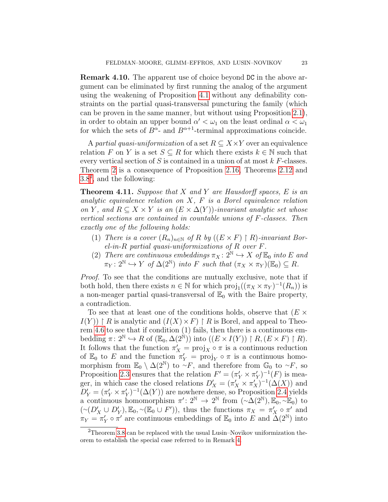Remark 4.10. The apparent use of choice beyond DC in the above argument can be eliminated by first running the analog of the argument using the weakening of Proposition [4.1](#page-18-2) without any definability constraints on the partial quasi-transversal puncturing the family (which can be proven in the same manner, but without using Proposition [2.1\)](#page-7-1), in order to obtain an upper bound  $\alpha' < \omega_1$  on the least ordinal  $\alpha < \omega_1$ for which the sets of  $B^{\alpha}$ - and  $B^{\alpha+1}$ -terminal approximations coincide.

A partial quasi-uniformization of a set  $R \subseteq X \times Y$  over an equivalence relation F on Y is a set  $S \subseteq R$  for which there exists  $k \in \mathbb{N}$  such that every vertical section of S is contained in a union of at most  $k F$ -classes. Theorem [2](#page-1-0) is a consequence of Proposition [2.16,](#page-12-3) Theorems [2.12](#page-11-0) and  $3.8^2$  $3.8^2$  $3.8^2$ , and the following:

<span id="page-22-1"></span>**Theorem 4.11.** Suppose that X and Y are Hausdorff spaces, E is an analytic equivalence relation on  $X$ ,  $F$  is a Borel equivalence relation on Y, and  $R \subseteq X \times Y$  is an  $(E \times \Delta(Y))$ -invariant analytic set whose vertical sections are contained in countable unions of F-classes. Then exactly one of the following holds:

- (1) There is a cover  $(R_n)_{n\in\mathbb{N}}$  of R by  $((E \times F) \restriction R)$ -invariant Bor $el-in-R$  partial quasi-uniformizations of R over F.
- (2) There are continuous embeddings  $\pi_X : 2^{\mathbb{N}} \hookrightarrow X$  of  $\mathbb{E}_0$  into E and  $\pi_Y\colon 2^{\mathbb{N}} \hookrightarrow Y$  of  $\Delta(2^{\mathbb{N}})$  into F such that  $(\pi_X \times \pi_Y)(\mathbb{E}_0) \subseteq R$ .

Proof. To see that the conditions are mutually exclusive, note that if both hold, then there exists  $n \in \mathbb{N}$  for which  $\text{proj}_1((\pi_X \times \pi_Y)^{-1}(R_n))$  is a non-meager partial quasi-transversal of  $\mathbb{E}_0$  with the Baire property, a contradiction.

To see that at least one of the conditions holds, observe that  $(E \times E)$  $I(Y)$  | R is analytic and  $(I(X) \times F)$  | R is Borel, and appeal to Theorem [4.6](#page-19-0) to see that if condition (1) fails, then there is a continuous embedding  $\pi: 2^{\mathbb{N}} \hookrightarrow R$  of  $(\mathbb{E}_0, \Delta(2^{\mathbb{N}}))$  into  $((E \times I(Y)) \upharpoonright R, (E \times F) \upharpoonright R)$ . It follows that the function  $\pi'_X = \text{proj}_X \circ \pi$  is a continuous reduction of  $\mathbb{E}_0$  to E and the function  $\pi'_Y = \text{proj}_Y \circ \pi$  is a continuous homomorphism from  $\mathbb{E}_0 \setminus \Delta(2^{\mathbb{N}})$  to ∼F, and therefore from  $\mathbb{G}_0$  to ∼F, so Proposition [2.3](#page-7-2) ensures that the relation  $F' = (\pi'_Y \times \pi'_Y)^{-1}(F)$  is meager, in which case the closed relations  $D'_X = (\pi'_X \times \pi'_X)^{-1}(\Delta(X))$  and  $D'_Y = (\pi'_Y \times \pi'_Y)^{-1}(\Delta(Y))$  are nowhere dense, so Proposition [2.4](#page-8-0) yields a continuous homomorphism  $\pi' : 2^{\mathbb{N}} \to 2^{\mathbb{N}}$  from  $(\sim \Delta(2^{\mathbb{N}}), \mathbb{E}_0, \sim \mathbb{E}_0)$  to  $(\sim (D'_X \cup D'_Y), \mathbb{E}_0, \sim (\mathbb{E}_0 \cup F'))$ , thus the functions  $\pi_X = \pi'_X \circ \pi'$  and  $\pi_Y = \pi'_Y \circ \pi'$  are continuous embeddings of  $\mathbb{E}_0$  into E and  $\hat{\Delta}(2^{\mathbb{N}})$  into

<span id="page-22-0"></span> $2$ Theorem [3.8](#page-15-0) can be replaced with the usual Lusin–Novikov uniformization theorem to establish the special case referred to in Remark [4.](#page-2-2)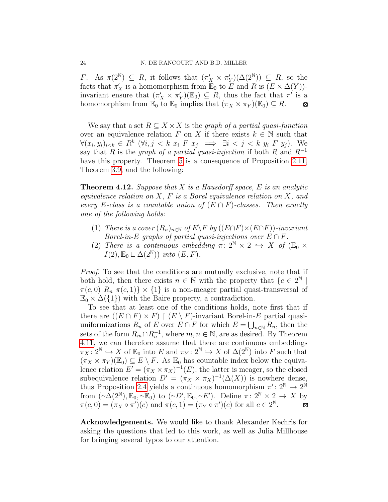F. As  $\pi(2^{\mathbb{N}}) \subseteq R$ , it follows that  $(\pi_X' \times \pi_Y')(\Delta(2^{\mathbb{N}})) \subseteq R$ , so the facts that  $\pi'_X$  is a homomorphism from  $\mathbb{E}_0$  to E and R is  $(E \times \Delta(Y))$ invariant ensure that  $(\pi_X' \times \pi_Y')(\mathbb{E}_0) \subseteq R$ , thus the fact that  $\pi'$  is a homomorphism from  $\mathbb{E}_0$  to  $\mathbb{E}_0$  implies that  $(\pi_X \times \pi_Y)(\mathbb{E}_0) \subseteq R$ .  $\boxtimes$ 

We say that a set  $R \subseteq X \times X$  is the *graph of a partial quasi-function* over an equivalence relation F on X if there exists  $k \in \mathbb{N}$  such that  $\forall (x_i, y_i)_{i \leq k} \in R^k \ (\forall i, j \leq k \ x_i \ F \ x_j \implies \exists i \leq j \leq k \ y_i \ F \ y_j).$  We say that R is the graph of a partial quasi-injection if both R and  $R^{-1}$ have this property. Theorem [5](#page-2-1) is a consequence of Proposition [2.11,](#page-10-2) Theorem [3.9,](#page-16-0) and the following:

**Theorem 4.12.** Suppose that  $X$  is a Hausdorff space,  $E$  is an analytic equivalence relation on  $X$ ,  $F$  is a Borel equivalence relation on  $X$ , and every E-class is a countable union of  $(E \cap F)$ -classes. Then exactly one of the following holds:

- (1) There is a cover  $(R_n)_{n\in\mathbb{N}}$  of  $E\ F$  by  $((E\cap F)\times (E\cap F))$ -invariant Borel-in-E graphs of partial quasi-injections over  $E \cap F$ .
- (2) There is a continuous embedding  $\pi: 2^{\mathbb{N}} \times 2 \hookrightarrow X$  of  $(\mathbb{E}_0 \times$  $I(2), \mathbb{E}_0 \sqcup \Delta(2^{\mathbb{N}}))$  into  $(E, F)$ .

Proof. To see that the conditions are mutually exclusive, note that if both hold, then there exists  $n \in \mathbb{N}$  with the property that  $\{c \in 2^{\mathbb{N}}\mid$  $\pi(c, 0)$   $R_n$   $\pi(c, 1)$  × {1} is a non-meager partial quasi-transversal of  $\mathbb{E}_0 \times \Delta({1})$  with the Baire property, a contradiction.

To see that at least one of the conditions holds, note first that if there are  $((E \cap F) \times F) \restriction (E \setminus F)$ -invariant Borel-in-E partial quasiuniformizations  $R_n$  of E over  $E \cap F$  for which  $E = \bigcup_{n \in \mathbb{N}} R_n$ , then the sets of the form  $R_m \cap R_n^{-1}$ , where  $m, n \in \mathbb{N}$ , are as desired. By Theorem [4.11,](#page-22-1) we can therefore assume that there are continuous embeddings  $\pi_X: 2^{\mathbb{N}} \hookrightarrow X$  of  $\mathbb{E}_0$  into E and  $\pi_Y: 2^{\mathbb{N}} \hookrightarrow X$  of  $\Delta(2^{\mathbb{N}})$  into F such that  $(\pi_X \times \pi_Y)(\mathbb{E}_0) \subseteq E \setminus F$ . As  $\mathbb{E}_0$  has countable index below the equivalence relation  $E' = (\pi_X \times \pi_X)^{-1}(E)$ , the latter is meager, so the closed subequivalence relation  $D' = (\pi_X \times \pi_X)^{-1}(\Delta(X))$  is nowhere dense, thus Proposition [2.4](#page-8-0) yields a continuous homomorphism  $\pi' : 2^{\mathbb{N}} \to 2^{\mathbb{N}}$ from  $(\sim\!\!\overline{\Delta}(2^{\mathbb{N}}), \mathbb{E}_0, \sim\!\!\mathbb{E}_0)$  to  $(\sim\!\!D', \mathbb{E}_0, \sim\!\!E')$ . Define  $\pi: 2^{\mathbb{N}} \times 2 \to X$  by  $\pi(c,0) = (\pi_X \circ \pi')(c)$  and  $\pi(c,1) = (\pi_Y \circ \pi')(c)$  for all  $c \in 2^{\mathbb{N}}$ .  $\boxtimes$ 

Acknowledgements. We would like to thank Alexander Kechris for asking the questions that led to this work, as well as Julia Millhouse for bringing several typos to our attention.